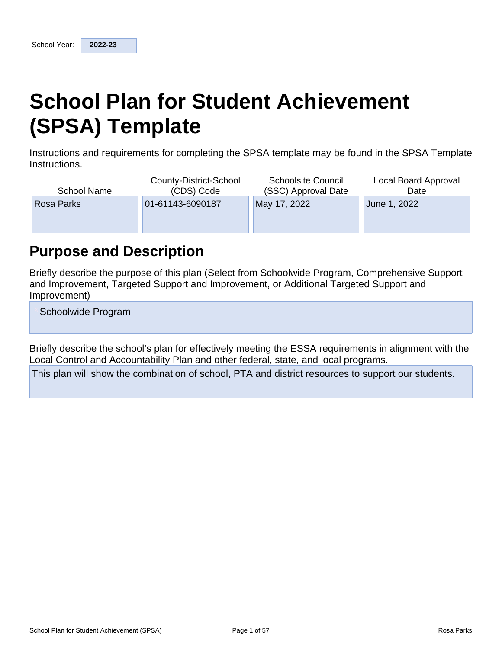# **School Plan for Student Achievement (SPSA) Template**

Instructions and requirements for completing the SPSA template may be found in the SPSA Template Instructions.

| School Name | County-District-School<br>(CDS) Code | <b>Schoolsite Council</b><br>(SSC) Approval Date | Local Board Approval<br>Date |
|-------------|--------------------------------------|--------------------------------------------------|------------------------------|
| Rosa Parks  | 01-61143-6090187                     | May 17, 2022                                     | June 1, 2022                 |
|             |                                      |                                                  |                              |

## **Purpose and Description**

Briefly describe the purpose of this plan (Select from Schoolwide Program, Comprehensive Support and Improvement, Targeted Support and Improvement, or Additional Targeted Support and Improvement)

Schoolwide Program

Briefly describe the school's plan for effectively meeting the ESSA requirements in alignment with the Local Control and Accountability Plan and other federal, state, and local programs.

This plan will show the combination of school, PTA and district resources to support our students.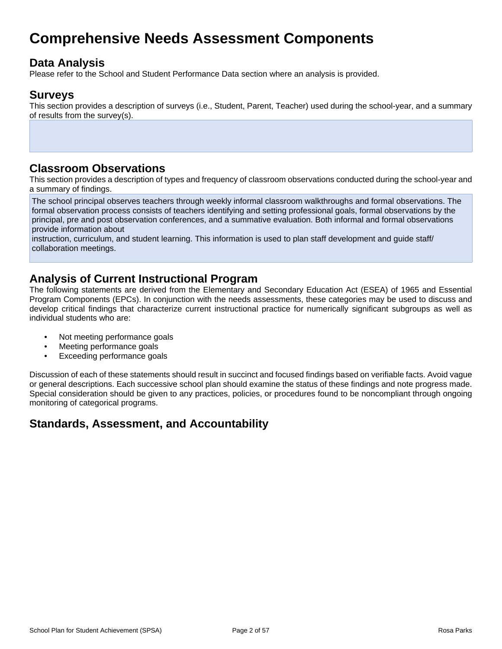## **Comprehensive Needs Assessment Components**

## **Data Analysis**

Please refer to the School and Student Performance Data section where an analysis is provided.

### **Surveys**

This section provides a description of surveys (i.e., Student, Parent, Teacher) used during the school-year, and a summary of results from the survey(s).

## **Classroom Observations**

This section provides a description of types and frequency of classroom observations conducted during the school-year and a summary of findings.

The school principal observes teachers through weekly informal classroom walkthroughs and formal observations. The formal observation process consists of teachers identifying and setting professional goals, formal observations by the principal, pre and post observation conferences, and a summative evaluation. Both informal and formal observations provide information about

instruction, curriculum, and student learning. This information is used to plan staff development and guide staff/ collaboration meetings.

## **Analysis of Current Instructional Program**

The following statements are derived from the Elementary and Secondary Education Act (ESEA) of 1965 and Essential Program Components (EPCs). In conjunction with the needs assessments, these categories may be used to discuss and develop critical findings that characterize current instructional practice for numerically significant subgroups as well as individual students who are:

- Not meeting performance goals
- Meeting performance goals
- Exceeding performance goals

Discussion of each of these statements should result in succinct and focused findings based on verifiable facts. Avoid vague or general descriptions. Each successive school plan should examine the status of these findings and note progress made. Special consideration should be given to any practices, policies, or procedures found to be noncompliant through ongoing monitoring of categorical programs.

## **Standards, Assessment, and Accountability**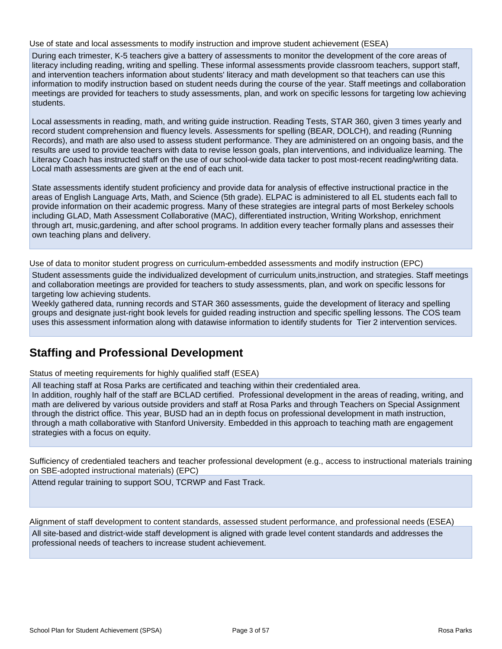Use of state and local assessments to modify instruction and improve student achievement (ESEA)

During each trimester, K-5 teachers give a battery of assessments to monitor the development of the core areas of literacy including reading, writing and spelling. These informal assessments provide classroom teachers, support staff, and intervention teachers information about students' literacy and math development so that teachers can use this information to modify instruction based on student needs during the course of the year. Staff meetings and collaboration meetings are provided for teachers to study assessments, plan, and work on specific lessons for targeting low achieving students.

Local assessments in reading, math, and writing guide instruction. Reading Tests, STAR 360, given 3 times yearly and record student comprehension and fluency levels. Assessments for spelling (BEAR, DOLCH), and reading (Running Records), and math are also used to assess student performance. They are administered on an ongoing basis, and the results are used to provide teachers with data to revise lesson goals, plan interventions, and individualize learning. The Literacy Coach has instructed staff on the use of our school-wide data tacker to post most-recent reading/writing data. Local math assessments are given at the end of each unit.

State assessments identify student proficiency and provide data for analysis of effective instructional practice in the areas of English Language Arts, Math, and Science (5th grade). ELPAC is administered to all EL students each fall to provide information on their academic progress. Many of these strategies are integral parts of most Berkeley schools including GLAD, Math Assessment Collaborative (MAC), differentiated instruction, Writing Workshop, enrichment through art, music,gardening, and after school programs. In addition every teacher formally plans and assesses their own teaching plans and delivery.

Use of data to monitor student progress on curriculum-embedded assessments and modify instruction (EPC)

Student assessments guide the individualized development of curriculum units,instruction, and strategies. Staff meetings and collaboration meetings are provided for teachers to study assessments, plan, and work on specific lessons for targeting low achieving students.

Weekly gathered data, running records and STAR 360 assessments, guide the development of literacy and spelling groups and designate just-right book levels for guided reading instruction and specific spelling lessons. The COS team uses this assessment information along with datawise information to identify students for Tier 2 intervention services.

## **Staffing and Professional Development**

Status of meeting requirements for highly qualified staff (ESEA)

All teaching staff at Rosa Parks are certificated and teaching within their credentialed area.

In addition, roughly half of the staff are BCLAD certified. Professional development in the areas of reading, writing, and math are delivered by various outside providers and staff at Rosa Parks and through Teachers on Special Assignment through the district office. This year, BUSD had an in depth focus on professional development in math instruction, through a math collaborative with Stanford University. Embedded in this approach to teaching math are engagement strategies with a focus on equity.

Sufficiency of credentialed teachers and teacher professional development (e.g., access to instructional materials training on SBE-adopted instructional materials) (EPC)

Attend regular training to support SOU, TCRWP and Fast Track.

Alignment of staff development to content standards, assessed student performance, and professional needs (ESEA)

All site-based and district-wide staff development is aligned with grade level content standards and addresses the professional needs of teachers to increase student achievement.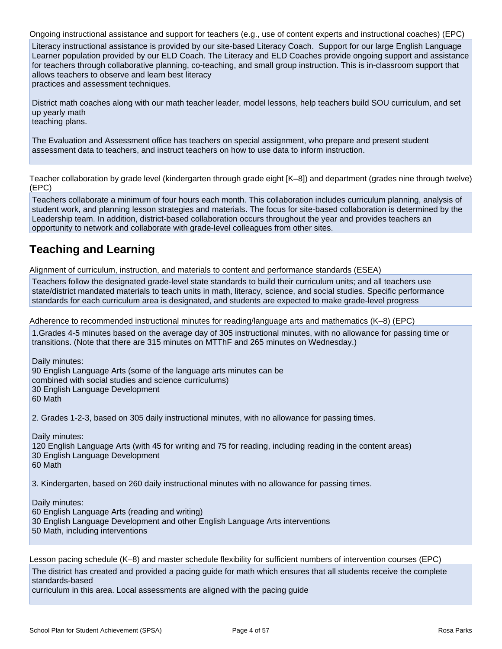Ongoing instructional assistance and support for teachers (e.g., use of content experts and instructional coaches) (EPC) Literacy instructional assistance is provided by our site-based Literacy Coach. Support for our large English Language Learner population provided by our ELD Coach. The Literacy and ELD Coaches provide ongoing support and assistance for teachers through collaborative planning, co-teaching, and small group instruction. This is in-classroom support that allows teachers to observe and learn best literacy practices and assessment techniques.

District math coaches along with our math teacher leader, model lessons, help teachers build SOU curriculum, and set up yearly math teaching plans.

The Evaluation and Assessment office has teachers on special assignment, who prepare and present student assessment data to teachers, and instruct teachers on how to use data to inform instruction.

Teacher collaboration by grade level (kindergarten through grade eight [K–8]) and department (grades nine through twelve) (EPC)

Teachers collaborate a minimum of four hours each month. This collaboration includes curriculum planning, analysis of student work, and planning lesson strategies and materials. The focus for site-based collaboration is determined by the Leadership team. In addition, district-based collaboration occurs throughout the year and provides teachers an opportunity to network and collaborate with grade-level colleagues from other sites.

## **Teaching and Learning**

Alignment of curriculum, instruction, and materials to content and performance standards (ESEA)

Teachers follow the designated grade-level state standards to build their curriculum units; and all teachers use state/district mandated materials to teach units in math, literacy, science, and social studies. Specific performance standards for each curriculum area is designated, and students are expected to make grade-level progress

Adherence to recommended instructional minutes for reading/language arts and mathematics (K–8) (EPC)

1.Grades 4-5 minutes based on the average day of 305 instructional minutes, with no allowance for passing time or transitions. (Note that there are 315 minutes on MTThF and 265 minutes on Wednesday.)

Daily minutes: 90 English Language Arts (some of the language arts minutes can be combined with social studies and science curriculums) 30 English Language Development 60 Math

2. Grades 1-2-3, based on 305 daily instructional minutes, with no allowance for passing times.

Daily minutes: 120 English Language Arts (with 45 for writing and 75 for reading, including reading in the content areas) 30 English Language Development 60 Math

3. Kindergarten, based on 260 daily instructional minutes with no allowance for passing times.

Daily minutes:

60 English Language Arts (reading and writing)

30 English Language Development and other English Language Arts interventions

50 Math, including interventions

Lesson pacing schedule (K–8) and master schedule flexibility for sufficient numbers of intervention courses (EPC) The district has created and provided a pacing guide for math which ensures that all students receive the complete standards-based curriculum in this area. Local assessments are aligned with the pacing guide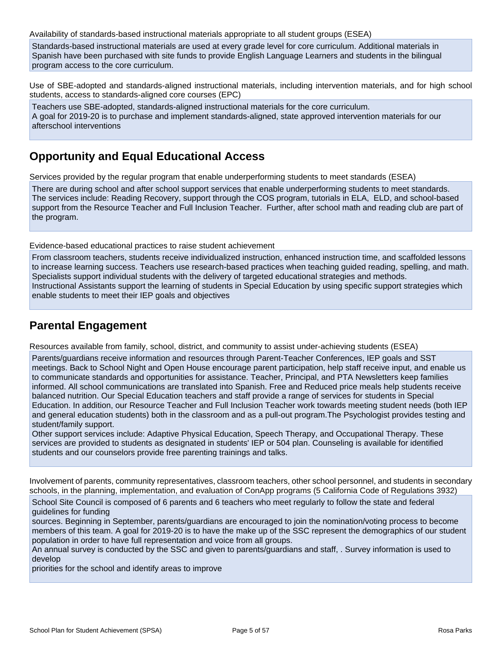Availability of standards-based instructional materials appropriate to all student groups (ESEA)

Standards-based instructional materials are used at every grade level for core curriculum. Additional materials in Spanish have been purchased with site funds to provide English Language Learners and students in the bilingual program access to the core curriculum.

Use of SBE-adopted and standards-aligned instructional materials, including intervention materials, and for high school students, access to standards-aligned core courses (EPC)

Teachers use SBE-adopted, standards-aligned instructional materials for the core curriculum. A goal for 2019-20 is to purchase and implement standards-aligned, state approved intervention materials for our afterschool interventions

## **Opportunity and Equal Educational Access**

Services provided by the regular program that enable underperforming students to meet standards (ESEA)

There are during school and after school support services that enable underperforming students to meet standards. The services include: Reading Recovery, support through the COS program, tutorials in ELA, ELD, and school-based support from the Resource Teacher and Full Inclusion Teacher. Further, after school math and reading club are part of the program.

Evidence-based educational practices to raise student achievement

From classroom teachers, students receive individualized instruction, enhanced instruction time, and scaffolded lessons to increase learning success. Teachers use research-based practices when teaching guided reading, spelling, and math. Specialists support individual students with the delivery of targeted educational strategies and methods. Instructional Assistants support the learning of students in Special Education by using specific support strategies which enable students to meet their IEP goals and objectives

## **Parental Engagement**

Resources available from family, school, district, and community to assist under-achieving students (ESEA)

Parents/guardians receive information and resources through Parent-Teacher Conferences, IEP goals and SST meetings. Back to School Night and Open House encourage parent participation, help staff receive input, and enable us to communicate standards and opportunities for assistance. Teacher, Principal, and PTA Newsletters keep families informed. All school communications are translated into Spanish. Free and Reduced price meals help students receive balanced nutrition. Our Special Education teachers and staff provide a range of services for students in Special Education. In addition, our Resource Teacher and Full Inclusion Teacher work towards meeting student needs (both IEP and general education students) both in the classroom and as a pull-out program.The Psychologist provides testing and student/family support.

Other support services include: Adaptive Physical Education, Speech Therapy, and Occupational Therapy. These services are provided to students as designated in students' IEP or 504 plan. Counseling is available for identified students and our counselors provide free parenting trainings and talks.

Involvement of parents, community representatives, classroom teachers, other school personnel, and students in secondary schools, in the planning, implementation, and evaluation of ConApp programs (5 California Code of Regulations 3932)

School Site Council is composed of 6 parents and 6 teachers who meet regularly to follow the state and federal guidelines for funding

sources. Beginning in September, parents/guardians are encouraged to join the nomination/voting process to become members of this team. A goal for 2019-20 is to have the make up of the SSC represent the demographics of our student population in order to have full representation and voice from all groups.

An annual survey is conducted by the SSC and given to parents/guardians and staff, . Survey information is used to develop

priorities for the school and identify areas to improve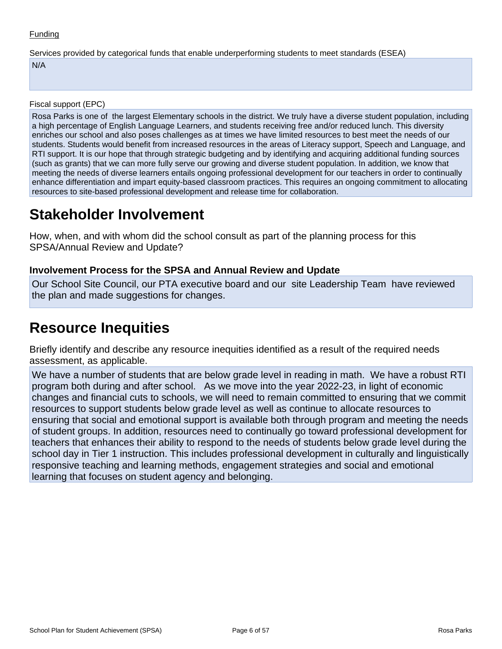Services provided by categorical funds that enable underperforming students to meet standards (ESEA)

N/A

Fiscal support (EPC)

Rosa Parks is one of the largest Elementary schools in the district. We truly have a diverse student population, including a high percentage of English Language Learners, and students receiving free and/or reduced lunch. This diversity enriches our school and also poses challenges as at times we have limited resources to best meet the needs of our students. Students would benefit from increased resources in the areas of Literacy support, Speech and Language, and RTI support. It is our hope that through strategic budgeting and by identifying and acquiring additional funding sources (such as grants) that we can more fully serve our growing and diverse student population. In addition, we know that meeting the needs of diverse learners entails ongoing professional development for our teachers in order to continually enhance differentiation and impart equity-based classroom practices. This requires an ongoing commitment to allocating resources to site-based professional development and release time for collaboration.

## **Stakeholder Involvement**

How, when, and with whom did the school consult as part of the planning process for this SPSA/Annual Review and Update?

### **Involvement Process for the SPSA and Annual Review and Update**

Our School Site Council, our PTA executive board and our site Leadership Team have reviewed the plan and made suggestions for changes.

## **Resource Inequities**

Briefly identify and describe any resource inequities identified as a result of the required needs assessment, as applicable.

We have a number of students that are below grade level in reading in math. We have a robust RTI program both during and after school. As we move into the year 2022-23, in light of economic changes and financial cuts to schools, we will need to remain committed to ensuring that we commit resources to support students below grade level as well as continue to allocate resources to ensuring that social and emotional support is available both through program and meeting the needs of student groups. In addition, resources need to continually go toward professional development for teachers that enhances their ability to respond to the needs of students below grade level during the school day in Tier 1 instruction. This includes professional development in culturally and linguistically responsive teaching and learning methods, engagement strategies and social and emotional learning that focuses on student agency and belonging.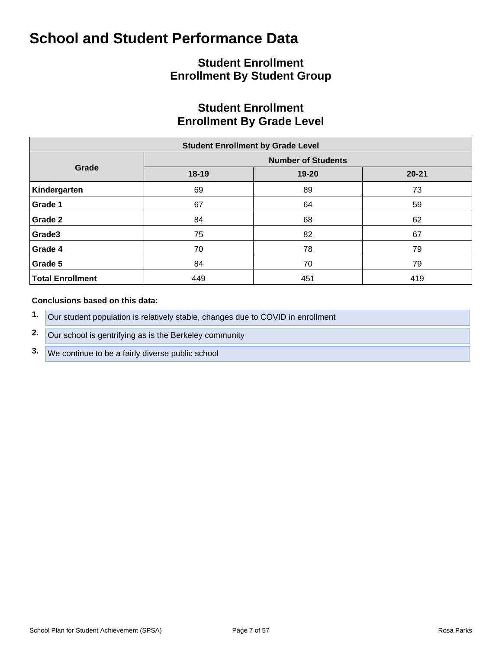## **Student Enrollment Enrollment By Student Group**

## **Student Enrollment Enrollment By Grade Level**

| <b>Student Enrollment by Grade Level</b> |                           |       |           |  |  |  |  |  |  |  |  |
|------------------------------------------|---------------------------|-------|-----------|--|--|--|--|--|--|--|--|
|                                          | <b>Number of Students</b> |       |           |  |  |  |  |  |  |  |  |
| Grade                                    | 18-19                     | 19-20 | $20 - 21$ |  |  |  |  |  |  |  |  |
| Kindergarten                             | 69                        | 89    | 73        |  |  |  |  |  |  |  |  |
| Grade 1                                  | 67                        | 64    | 59        |  |  |  |  |  |  |  |  |
| Grade 2                                  | 84                        | 68    | 62        |  |  |  |  |  |  |  |  |
| Grade3                                   | 75                        | 82    | 67        |  |  |  |  |  |  |  |  |
| Grade 4                                  | 70                        | 78    | 79        |  |  |  |  |  |  |  |  |
| Grade 5                                  | 84                        | 70    | 79        |  |  |  |  |  |  |  |  |
| <b>Total Enrollment</b>                  | 449                       | 451   | 419       |  |  |  |  |  |  |  |  |

#### **Conclusions based on this data:**

- **1.** Our student population is relatively stable, changes due to COVID in enrollment
- **2.** Our school is gentrifying as is the Berkeley community
- **3.** We continue to be a fairly diverse public school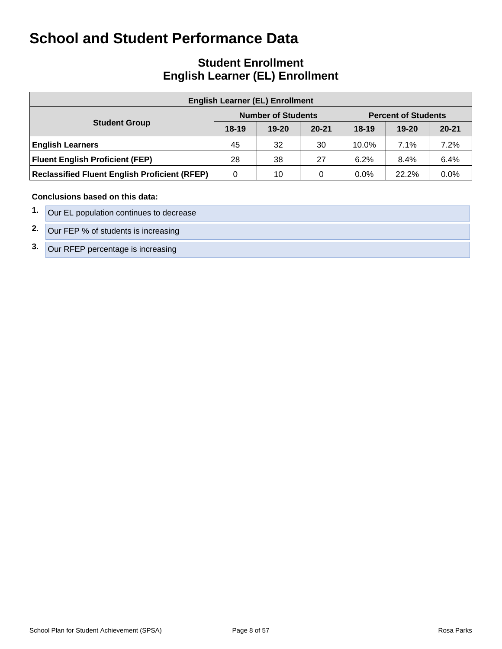## **Student Enrollment English Learner (EL) Enrollment**

| <b>English Learner (EL) Enrollment</b>               |           |                           |           |                            |           |           |  |  |  |  |  |  |
|------------------------------------------------------|-----------|---------------------------|-----------|----------------------------|-----------|-----------|--|--|--|--|--|--|
|                                                      |           | <b>Number of Students</b> |           | <b>Percent of Students</b> |           |           |  |  |  |  |  |  |
| <b>Student Group</b>                                 | $18 - 19$ | $19 - 20$                 | $20 - 21$ | $18-19$                    | $19 - 20$ | $20 - 21$ |  |  |  |  |  |  |
| <b>English Learners</b>                              | 45        | 32                        | 30        | 10.0%                      | 7.1%      | 7.2%      |  |  |  |  |  |  |
| <b>Fluent English Proficient (FEP)</b>               | 28        | 38                        | 27        | 6.2%                       | 8.4%      | 6.4%      |  |  |  |  |  |  |
| <b>Reclassified Fluent English Proficient (RFEP)</b> | 0         | 10                        | 0         | $0.0\%$                    | 22.2%     | 0.0%      |  |  |  |  |  |  |

#### **Conclusions based on this data:**

| Our EL population continues to decrease |
|-----------------------------------------|
| 2. Our FEP % of students is increasing  |
| 3. Our RFEP percentage is increasing    |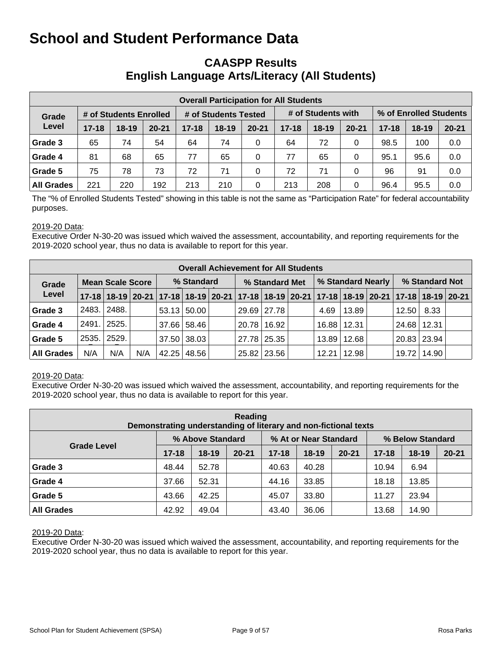## **CAASPP Results English Language Arts/Literacy (All Students)**

| <b>Overall Participation for All Students</b> |           |                        |           |                      |         |           |           |                    |           |                        |           |           |  |
|-----------------------------------------------|-----------|------------------------|-----------|----------------------|---------|-----------|-----------|--------------------|-----------|------------------------|-----------|-----------|--|
| Grade                                         |           | # of Students Enrolled |           | # of Students Tested |         |           |           | # of Students with |           | % of Enrolled Students |           |           |  |
| Level                                         | $17 - 18$ | 18-19                  | $20 - 21$ | $17 - 18$            | $18-19$ | $20 - 21$ | $17 - 18$ | $18-19$            | $20 - 21$ | $17 - 18$              | $18 - 19$ | $20 - 21$ |  |
| Grade 3                                       | 65        | 74                     | 54        | 64                   | 74      | 0         | 64        | 72                 | 0         | 98.5                   | 100       | 0.0       |  |
| Grade 4                                       | 81        | 68                     | 65        | 77                   | 65      | 0         | 77        | 65                 | 0         | 95.1                   | 95.6      | 0.0       |  |
| Grade 5                                       | 75        | 78                     | 73        | 72                   | 71      | 0         | 72        | 71                 | 0         | 96                     | 91        | 0.0       |  |
| <b>All Grades</b>                             | 221       | 220                    | 192       | 213                  | 210     | 0         | 213       | 208                | 0         | 96.4                   | 95.5      | 0.0       |  |

The "% of Enrolled Students Tested" showing in this table is not the same as "Participation Rate" for federal accountability purposes.

#### 2019-20 Data:

Executive Order N-30-20 was issued which waived the assessment, accountability, and reporting requirements for the 2019-2020 school year, thus no data is available to report for this year.

|                   | <b>Overall Achievement for All Students</b> |                         |     |            |                    |  |                |               |  |                   |                    |  |                                                                                           |       |  |
|-------------------|---------------------------------------------|-------------------------|-----|------------|--------------------|--|----------------|---------------|--|-------------------|--------------------|--|-------------------------------------------------------------------------------------------|-------|--|
| Grade             |                                             | <b>Mean Scale Score</b> |     | % Standard |                    |  | % Standard Met |               |  | % Standard Nearly |                    |  | % Standard Not                                                                            |       |  |
| Level             |                                             |                         |     |            |                    |  |                |               |  |                   |                    |  | 17-18 18-19 20-21 17-18 18-19 20-21 17-18 18-19 20-21 17-18 18-19 20-21 17-18 18-19 20-21 |       |  |
| Grade 3           | 2483.                                       | 2488.                   |     |            | $53.13 \mid 50.00$ |  |                | 29.69 27.78   |  | 4.69              | 13.89              |  | $12.50$ $\mid$                                                                            | 8.33  |  |
| Grade 4           | 2491. 2525.                                 |                         |     |            | 37.66 58.46        |  |                | 20.78   16.92 |  |                   | 16.88 12.31        |  | 24.68                                                                                     | 12.31 |  |
| Grade 5           | 2535.                                       | 2529.                   |     |            | 37.50 38.03        |  |                | 27.78 25.35   |  |                   | 13.89   12.68      |  | 20.83 23.94                                                                               |       |  |
| <b>All Grades</b> | N/A                                         | N/A                     | N/A |            | 42.25   48.56      |  |                | 25.82   23.56 |  |                   | $12.21 \mid 12.98$ |  | 19.72   14.90                                                                             |       |  |

#### 2019-20 Data:

Executive Order N-30-20 was issued which waived the assessment, accountability, and reporting requirements for the 2019-2020 school year, thus no data is available to report for this year.

| Reading<br>Demonstrating understanding of literary and non-fictional texts |           |                  |           |           |                       |           |                  |           |           |  |  |  |  |
|----------------------------------------------------------------------------|-----------|------------------|-----------|-----------|-----------------------|-----------|------------------|-----------|-----------|--|--|--|--|
|                                                                            |           | % Above Standard |           |           | % At or Near Standard |           | % Below Standard |           |           |  |  |  |  |
| <b>Grade Level</b>                                                         | $17 - 18$ | $18-19$          | $20 - 21$ | $17 - 18$ | $18 - 19$             | $20 - 21$ | $17 - 18$        | $18 - 19$ | $20 - 21$ |  |  |  |  |
| Grade 3                                                                    | 48.44     | 52.78            |           | 40.63     | 40.28                 |           | 10.94            | 6.94      |           |  |  |  |  |
| Grade 4                                                                    | 37.66     | 52.31            |           | 44.16     | 33.85                 |           | 18.18            | 13.85     |           |  |  |  |  |
| Grade 5                                                                    | 43.66     | 42.25            |           | 45.07     | 33.80                 |           | 11.27            | 23.94     |           |  |  |  |  |
| <b>All Grades</b>                                                          | 42.92     | 49.04            |           | 43.40     | 36.06                 |           | 13.68            | 14.90     |           |  |  |  |  |

#### 2019-20 Data: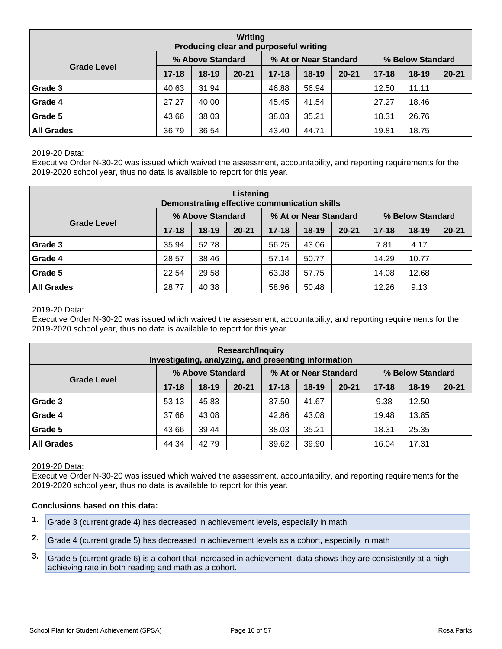| Writing<br>Producing clear and purposeful writing |           |                  |           |           |                       |           |                  |           |           |  |  |  |  |
|---------------------------------------------------|-----------|------------------|-----------|-----------|-----------------------|-----------|------------------|-----------|-----------|--|--|--|--|
|                                                   |           | % Above Standard |           |           | % At or Near Standard |           | % Below Standard |           |           |  |  |  |  |
| <b>Grade Level</b>                                | $17 - 18$ | $18-19$          | $20 - 21$ | $17 - 18$ | $18 - 19$             | $20 - 21$ | $17 - 18$        | $18 - 19$ | $20 - 21$ |  |  |  |  |
| Grade 3                                           | 40.63     | 31.94            |           | 46.88     | 56.94                 |           | 12.50            | 11.11     |           |  |  |  |  |
| Grade 4                                           | 27.27     | 40.00            |           | 45.45     | 41.54                 |           | 27.27            | 18.46     |           |  |  |  |  |
| Grade 5                                           | 43.66     | 38.03            |           | 38.03     | 35.21                 |           | 18.31            | 26.76     |           |  |  |  |  |
| <b>All Grades</b>                                 | 36.79     | 36.54            |           | 43.40     | 44.71                 |           | 19.81            | 18.75     |           |  |  |  |  |

Executive Order N-30-20 was issued which waived the assessment, accountability, and reporting requirements for the 2019-2020 school year, thus no data is available to report for this year.

| Listening<br>Demonstrating effective communication skills |           |                  |           |           |                       |           |                  |           |           |  |  |  |  |
|-----------------------------------------------------------|-----------|------------------|-----------|-----------|-----------------------|-----------|------------------|-----------|-----------|--|--|--|--|
|                                                           |           | % Above Standard |           |           | % At or Near Standard |           | % Below Standard |           |           |  |  |  |  |
| <b>Grade Level</b>                                        | $17 - 18$ | $18-19$          | $20 - 21$ | $17 - 18$ | $18-19$               | $20 - 21$ | $17 - 18$        | $18 - 19$ | $20 - 21$ |  |  |  |  |
| Grade 3                                                   | 35.94     | 52.78            |           | 56.25     | 43.06                 |           | 7.81             | 4.17      |           |  |  |  |  |
| Grade 4                                                   | 28.57     | 38.46            |           | 57.14     | 50.77                 |           | 14.29            | 10.77     |           |  |  |  |  |
| Grade 5                                                   | 22.54     | 29.58            |           | 63.38     | 57.75                 |           | 14.08            | 12.68     |           |  |  |  |  |
| <b>All Grades</b>                                         | 28.77     | 40.38            |           | 58.96     | 50.48                 |           | 12.26            | 9.13      |           |  |  |  |  |

#### 2019-20 Data:

Executive Order N-30-20 was issued which waived the assessment, accountability, and reporting requirements for the 2019-2020 school year, thus no data is available to report for this year.

| <b>Research/Inquiry</b><br>Investigating, analyzing, and presenting information |           |                  |           |           |                       |           |                  |           |           |  |  |  |  |
|---------------------------------------------------------------------------------|-----------|------------------|-----------|-----------|-----------------------|-----------|------------------|-----------|-----------|--|--|--|--|
|                                                                                 |           | % Above Standard |           |           | % At or Near Standard |           | % Below Standard |           |           |  |  |  |  |
| <b>Grade Level</b>                                                              | $17 - 18$ | $18-19$          | $20 - 21$ | $17 - 18$ | $18 - 19$             | $20 - 21$ | $17 - 18$        | $18 - 19$ | $20 - 21$ |  |  |  |  |
| Grade 3                                                                         | 53.13     | 45.83            |           | 37.50     | 41.67                 |           | 9.38             | 12.50     |           |  |  |  |  |
| Grade 4                                                                         | 37.66     | 43.08            |           | 42.86     | 43.08                 |           | 19.48            | 13.85     |           |  |  |  |  |
| Grade 5                                                                         | 43.66     | 39.44            |           | 38.03     | 35.21                 |           | 18.31            | 25.35     |           |  |  |  |  |
| <b>All Grades</b>                                                               | 44.34     | 42.79            |           | 39.62     | 39.90                 |           | 16.04            | 17.31     |           |  |  |  |  |

#### 2019-20 Data:

Executive Order N-30-20 was issued which waived the assessment, accountability, and reporting requirements for the 2019-2020 school year, thus no data is available to report for this year.

#### **Conclusions based on this data:**

- **1.** Grade 3 (current grade 4) has decreased in achievement levels, especially in math
- **2.** Grade 4 (current grade 5) has decreased in achievement levels as a cohort, especially in math
- **3.** Grade 5 (current grade 6) is a cohort that increased in achievement, data shows they are consistently at a high achieving rate in both reading and math as a cohort.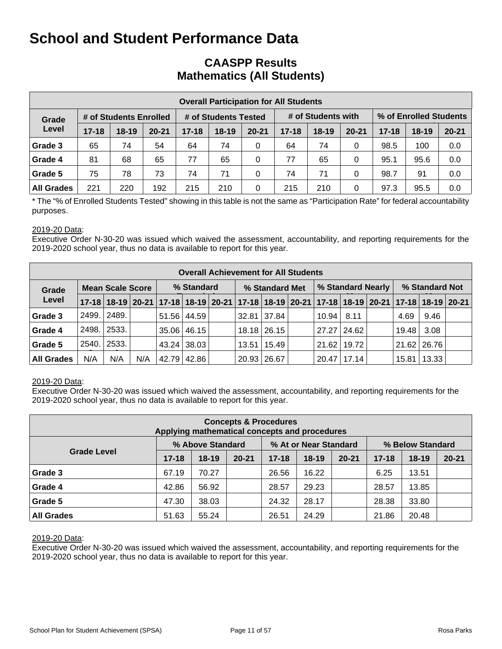## **CAASPP Results Mathematics (All Students)**

|                   | <b>Overall Participation for All Students</b> |                        |           |                      |           |           |           |                    |           |                        |         |           |  |  |  |
|-------------------|-----------------------------------------------|------------------------|-----------|----------------------|-----------|-----------|-----------|--------------------|-----------|------------------------|---------|-----------|--|--|--|
| Grade             |                                               | # of Students Enrolled |           | # of Students Tested |           |           |           | # of Students with |           | % of Enrolled Students |         |           |  |  |  |
| Level             | $17 - 18$                                     | $18 - 19$              | $20 - 21$ | $17 - 18$            | $18 - 19$ | $20 - 21$ | $17 - 18$ | $18 - 19$          | $20 - 21$ | $17 - 18$              | $18-19$ | $20 - 21$ |  |  |  |
| Grade 3           | 65                                            | 74                     | 54        | 64                   | 74        | 0         | 64        | 74                 | 0         | 98.5                   | 100     | 0.0       |  |  |  |
| Grade 4           | 81                                            | 68                     | 65        | 77                   | 65        | 0         | 77        | 65                 | 0         | 95.1                   | 95.6    | 0.0       |  |  |  |
| Grade 5           | 75                                            | 78                     | 73        | 74                   | 71        | 0         | 74        | 71                 | 0         | 98.7                   | 91      | 0.0       |  |  |  |
| <b>All Grades</b> | 221                                           | 220                    | 192       | 215                  | 210       | 0         | 215       | 210                | 0         | 97.3                   | 95.5    | 0.0       |  |  |  |

\* The "% of Enrolled Students Tested" showing in this table is not the same as "Participation Rate" for federal accountability purposes.

#### 2019-20 Data:

Executive Order N-30-20 was issued which waived the assessment, accountability, and reporting requirements for the 2019-2020 school year, thus no data is available to report for this year.

|                   | <b>Overall Achievement for All Students</b> |       |     |            |                    |  |                |               |  |                   |               |  |                    |                                                                                           |  |
|-------------------|---------------------------------------------|-------|-----|------------|--------------------|--|----------------|---------------|--|-------------------|---------------|--|--------------------|-------------------------------------------------------------------------------------------|--|
| Grade             | <b>Mean Scale Score</b>                     |       |     | % Standard |                    |  | % Standard Met |               |  | % Standard Nearly |               |  | % Standard Not     |                                                                                           |  |
| Level             |                                             |       |     |            |                    |  |                |               |  |                   |               |  |                    | 17-18 18-19 20-21 17-18 18-19 20-21 17-18 18-19 20-21 17-18 18-19 20-21 17-18 18-19 20-21 |  |
| Grade 3           | 2499.                                       | 2489. |     |            | 51.56 44.59        |  |                | 32.81 37.84   |  | 10.94             | 8.11          |  | 4.69               | 9.46                                                                                      |  |
| Grade 4           | 2498.                                       | 2533. |     |            | $35.06 \mid 46.15$ |  |                | 18.18 26.15   |  |                   | 27.27   24.62 |  | 19.48              | 3.08                                                                                      |  |
| Grade 5           | 2540.                                       | 2533. |     |            | 43.24 38.03        |  |                | 13.51   15.49 |  |                   | 21.62   19.72 |  | $21.62 \mid 26.76$ |                                                                                           |  |
| <b>All Grades</b> | N/A                                         | N/A   | N/A |            | 42.79 42.86        |  |                | 20.93 26.67   |  | 20.47             | 17.14         |  | 15.81              | 13.33                                                                                     |  |

#### 2019-20 Data:

Executive Order N-30-20 was issued which waived the assessment, accountability, and reporting requirements for the 2019-2020 school year, thus no data is available to report for this year.

| <b>Concepts &amp; Procedures</b><br>Applying mathematical concepts and procedures |           |                  |           |           |                       |           |           |                  |           |  |
|-----------------------------------------------------------------------------------|-----------|------------------|-----------|-----------|-----------------------|-----------|-----------|------------------|-----------|--|
|                                                                                   |           | % Above Standard |           |           | % At or Near Standard |           |           | % Below Standard |           |  |
| <b>Grade Level</b>                                                                | $17 - 18$ | $18-19$          | $20 - 21$ | $17 - 18$ | $18-19$               | $20 - 21$ | $17 - 18$ | $18 - 19$        | $20 - 21$ |  |
| Grade 3                                                                           | 67.19     | 70.27            |           | 26.56     | 16.22                 |           | 6.25      | 13.51            |           |  |
| Grade 4                                                                           | 42.86     | 56.92            |           | 28.57     | 29.23                 |           | 28.57     | 13.85            |           |  |
| Grade 5                                                                           | 47.30     | 38.03            |           | 24.32     | 28.17                 |           | 28.38     | 33.80            |           |  |
| <b>All Grades</b>                                                                 | 51.63     | 55.24            |           | 26.51     | 24.29                 |           | 21.86     | 20.48            |           |  |

#### 2019-20 Data: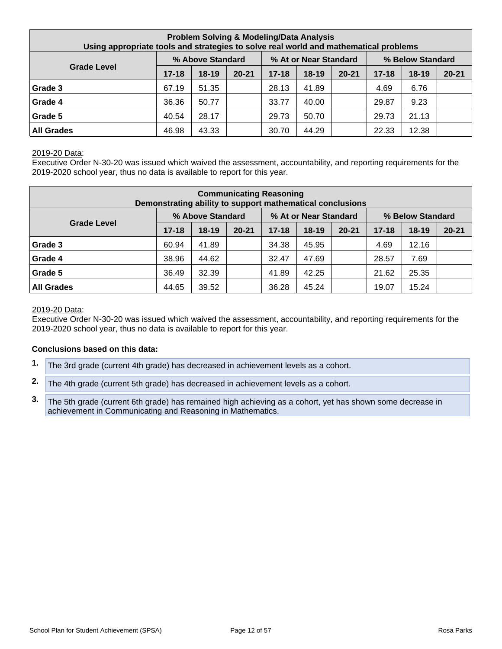| <b>Problem Solving &amp; Modeling/Data Analysis</b><br>Using appropriate tools and strategies to solve real world and mathematical problems |           |                  |           |           |                       |           |           |                  |           |  |  |
|---------------------------------------------------------------------------------------------------------------------------------------------|-----------|------------------|-----------|-----------|-----------------------|-----------|-----------|------------------|-----------|--|--|
|                                                                                                                                             |           | % Above Standard |           |           | % At or Near Standard |           |           | % Below Standard |           |  |  |
| <b>Grade Level</b>                                                                                                                          | $17 - 18$ | $18-19$          | $20 - 21$ | $17 - 18$ | $18-19$               | $20 - 21$ | $17 - 18$ | $18 - 19$        | $20 - 21$ |  |  |
| Grade 3                                                                                                                                     | 67.19     | 51.35            |           | 28.13     | 41.89                 |           | 4.69      | 6.76             |           |  |  |
| Grade 4                                                                                                                                     | 36.36     | 50.77            |           | 33.77     | 40.00                 |           | 29.87     | 9.23             |           |  |  |
| Grade 5                                                                                                                                     | 40.54     | 28.17            |           | 29.73     | 50.70                 |           | 29.73     | 21.13            |           |  |  |
| <b>All Grades</b>                                                                                                                           | 46.98     | 43.33            |           | 30.70     | 44.29                 |           | 22.33     | 12.38            |           |  |  |

Executive Order N-30-20 was issued which waived the assessment, accountability, and reporting requirements for the 2019-2020 school year, thus no data is available to report for this year.

| <b>Communicating Reasoning</b><br>Demonstrating ability to support mathematical conclusions |           |                  |           |           |                       |           |           |                  |           |  |
|---------------------------------------------------------------------------------------------|-----------|------------------|-----------|-----------|-----------------------|-----------|-----------|------------------|-----------|--|
|                                                                                             |           | % Above Standard |           |           | % At or Near Standard |           |           | % Below Standard |           |  |
| <b>Grade Level</b>                                                                          | $17 - 18$ | $18 - 19$        | $20 - 21$ | $17 - 18$ | 18-19                 | $20 - 21$ | $17 - 18$ | $18 - 19$        | $20 - 21$ |  |
| Grade 3                                                                                     | 60.94     | 41.89            |           | 34.38     | 45.95                 |           | 4.69      | 12.16            |           |  |
| Grade 4                                                                                     | 38.96     | 44.62            |           | 32.47     | 47.69                 |           | 28.57     | 7.69             |           |  |
| Grade 5                                                                                     | 36.49     | 32.39            |           | 41.89     | 42.25                 |           | 21.62     | 25.35            |           |  |
| <b>All Grades</b>                                                                           | 44.65     | 39.52            |           | 36.28     | 45.24                 |           | 19.07     | 15.24            |           |  |

#### 2019-20 Data:

Executive Order N-30-20 was issued which waived the assessment, accountability, and reporting requirements for the 2019-2020 school year, thus no data is available to report for this year.

#### **Conclusions based on this data:**

- **1.** The 3rd grade (current 4th grade) has decreased in achievement levels as a cohort.
- **2.** The 4th grade (current 5th grade) has decreased in achievement levels as a cohort.
- **3.** The 5th grade (current 6th grade) has remained high achieving as a cohort, yet has shown some decrease in achievement in Communicating and Reasoning in Mathematics.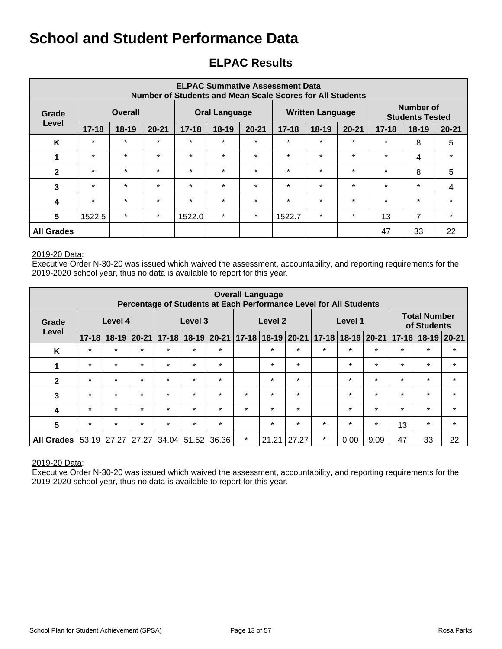## **ELPAC Results**

| <b>ELPAC Summative Assessment Data</b><br>Number of Students and Mean Scale Scores for All Students |                         |           |           |           |                      |           |           |                         |           |           |                                     |           |
|-----------------------------------------------------------------------------------------------------|-------------------------|-----------|-----------|-----------|----------------------|-----------|-----------|-------------------------|-----------|-----------|-------------------------------------|-----------|
| Grade                                                                                               | <b>Overall</b><br>Level |           |           |           | <b>Oral Language</b> |           |           | <b>Written Language</b> |           |           | Number of<br><b>Students Tested</b> |           |
|                                                                                                     | $17 - 18$               | $18 - 19$ | $20 - 21$ | $17 - 18$ | 18-19                | $20 - 21$ | $17 - 18$ | $18 - 19$               | $20 - 21$ | $17 - 18$ | $18 - 19$                           | $20 - 21$ |
| K                                                                                                   | $\star$                 | $\star$   | $\star$   | $\star$   | $\star$              | $\star$   | $\star$   | $\star$                 | $\star$   | $\star$   | 8                                   | 5         |
| 1                                                                                                   | $\star$                 | $\star$   | $\star$   | $\star$   | $\star$              | $\star$   | $\star$   | $\star$                 | $\star$   | $\star$   | 4                                   | $\star$   |
| $\mathbf{2}$                                                                                        | $\star$                 | $\star$   | $\star$   | $\star$   | $\star$              | $\star$   | $\star$   | $\star$                 | $\star$   | $\star$   | 8                                   | 5         |
| 3                                                                                                   | $\star$                 | $\star$   | $\star$   | $\star$   | $\star$              | $\star$   | $\star$   | $\star$                 | $\star$   | $\star$   | $\star$                             | 4         |
| $\boldsymbol{4}$                                                                                    | $\star$                 | $\star$   | $\star$   | $\star$   | $\star$              | $\star$   | $\star$   | $\star$                 | $\star$   | $\star$   | $\star$                             | $\star$   |
| 5                                                                                                   | 1522.5                  | $\star$   | $\star$   | 1522.0    | $\star$              | $\star$   | 1522.7    | $\star$                 | $\star$   | 13        | $\overline{7}$                      | $\star$   |
| <b>All Grades</b>                                                                                   |                         |           |           |           |                      |           |           |                         |           | 47        | 33                                  | 22        |

#### 2019-20 Data:

Executive Order N-30-20 was issued which waived the assessment, accountability, and reporting requirements for the 2019-2020 school year, thus no data is available to report for this year.

| <b>Overall Language</b><br>Percentage of Students at Each Performance Level for All Students |                  |           |           |         |                     |         |         |         |                   |                           |         |         |           |                                    |         |
|----------------------------------------------------------------------------------------------|------------------|-----------|-----------|---------|---------------------|---------|---------|---------|-------------------|---------------------------|---------|---------|-----------|------------------------------------|---------|
| Grade                                                                                        | Level 4<br>Level |           |           |         | Level 3             |         |         | Level 2 |                   |                           | Level 1 |         |           | <b>Total Number</b><br>of Students |         |
|                                                                                              | $17 - 18$        | $18 - 19$ | $20 - 21$ |         | $17-18$ 18-19 20-21 |         |         |         | 17-18 18-19 20-21 | $17 - 18$ 18 - 19 20 - 21 |         |         | $17 - 18$ | $18-19$ 20-21                      |         |
| K                                                                                            | $\star$          | $\star$   | $\star$   | $\star$ | $\star$             | $\star$ |         | $\star$ | $\star$           | $\star$                   | $\star$ | $\star$ | $\star$   | $\star$                            | $\star$ |
| 1                                                                                            | $\star$          | $\star$   | $\star$   | $\star$ | $\star$             | $\star$ |         | $\star$ | $\star$           |                           | $\star$ | $\star$ | $\star$   | $\star$                            | $\star$ |
| $\mathbf{2}$                                                                                 | $\star$          | $\star$   | $\star$   | $\star$ | $\star$             | $\star$ |         | $\star$ | $\star$           |                           | $\star$ | $\star$ | $\star$   | $\star$                            | $\star$ |
| 3                                                                                            | $\star$          | $\star$   | $\star$   | $\star$ | $\star$             | $\star$ | $\star$ | $\star$ | $\star$           |                           | $\star$ | $\star$ | $\star$   | $\star$                            | $\star$ |
| $\overline{\mathbf{4}}$                                                                      | $\star$          | $\star$   | $\star$   | $\star$ | $\star$             | $\star$ | $\star$ | $\star$ | $\star$           |                           | $\star$ | $\star$ | $\star$   | $\star$                            | $\star$ |
| 5                                                                                            | $\star$          | $\star$   | $\star$   | $\star$ | $\star$             | $\star$ |         | $\star$ | $\star$           | $\star$                   | $\star$ | $\star$ | 13        | $\star$                            | $\star$ |
| All Grades                                                                                   | 53.19            | 27.27     | 27.27     | 34.04   | 51.52               | 36.36   | $\star$ | 21.21   | 27.27             | $\star$                   | 0.00    | 9.09    | 47        | 33                                 | 22      |

#### 2019-20 Data: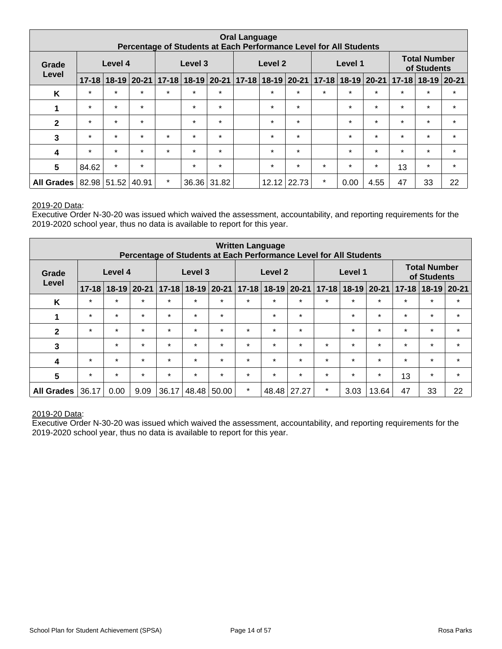| <b>Oral Language</b><br>Percentage of Students at Each Performance Level for All Students |                  |                   |         |         |         |             |  |         |                                                 |                                     |         |         |         |                                    |         |
|-------------------------------------------------------------------------------------------|------------------|-------------------|---------|---------|---------|-------------|--|---------|-------------------------------------------------|-------------------------------------|---------|---------|---------|------------------------------------|---------|
| Grade                                                                                     | Level 4<br>Level |                   |         |         | Level 3 |             |  | Level 2 |                                                 |                                     | Level 1 |         |         | <b>Total Number</b><br>of Students |         |
|                                                                                           | $17 - 18$        |                   |         |         |         |             |  |         | 18-19 20-21 17-18 18-19 20-21 17-18 18-19 20-21 | 17-18 18-19 20-21 17-18 18-19 20-21 |         |         |         |                                    |         |
| K                                                                                         | $\star$          | $\star$           | $\star$ | $\star$ | $\star$ | $\star$     |  | $\star$ | $\star$                                         | $\star$                             | $\star$ | $\star$ | $\star$ | $\star$                            | $\star$ |
| 1                                                                                         | $\star$          | $\star$           | $\star$ |         | $\star$ | $\star$     |  | $\star$ | $\star$                                         |                                     | $\star$ | $\star$ | $\star$ | $\star$                            | $\star$ |
| $\mathbf{2}$                                                                              | $\star$          | $\star$           | $\star$ |         | $\star$ | $\star$     |  | $\star$ | $\star$                                         |                                     | $\star$ | $\star$ | $\star$ | $\star$                            | $\star$ |
| 3                                                                                         | $\star$          | $\star$           | $\star$ | $\star$ | $\star$ | $\star$     |  | $\star$ | $\star$                                         |                                     | $\star$ | $\star$ | $\star$ | $\star$                            | $\star$ |
| 4                                                                                         | $\star$          | $\star$           | $\star$ | $\star$ | $\star$ | $\star$     |  | $\star$ | $\star$                                         |                                     | $\star$ | $\star$ | $\star$ | $\star$                            | $\star$ |
| 5                                                                                         | 84.62            | $\star$           | $\star$ |         | $\star$ | $\star$     |  | $\star$ | $\star$                                         | $\star$                             | $\star$ | $\star$ | 13      | $\star$                            | $\star$ |
| All Grades                                                                                |                  | 82.98 51.52 40.91 |         | $\star$ |         | 36.36 31.82 |  |         | 12.12 22.73                                     | $\star$                             | 0.00    | 4.55    | 47      | 33                                 | 22      |

Executive Order N-30-20 was issued which waived the assessment, accountability, and reporting requirements for the 2019-2020 school year, thus no data is available to report for this year.

| <b>Written Language</b><br>Percentage of Students at Each Performance Level for All Students |                  |           |           |           |           |           |           |                    |         |                            |         |         |           |                                    |               |
|----------------------------------------------------------------------------------------------|------------------|-----------|-----------|-----------|-----------|-----------|-----------|--------------------|---------|----------------------------|---------|---------|-----------|------------------------------------|---------------|
| Grade                                                                                        | Level 4<br>Level |           |           |           | Level 3   |           |           | Level <sub>2</sub> |         |                            | Level 1 |         |           | <b>Total Number</b><br>of Students |               |
|                                                                                              | $17 - 18$        | $18 - 19$ | $20 - 21$ | $17 - 18$ | $18 - 19$ | $20 - 21$ | $17 - 18$ | $18-19$ 20-21      |         | $18-19$ 20-21<br>$17 - 18$ |         |         | $17 - 18$ |                                    | $18-19$ 20-21 |
| K                                                                                            | $\star$          | $\star$   | $\star$   | $\star$   | $\star$   | $\star$   | $\star$   | $\star$            | $\star$ | $\star$                    | $\star$ | $\star$ | $\star$   | $\star$                            | $\star$       |
| 1                                                                                            | $\star$          | $\star$   | $\star$   | $\star$   | $\star$   | $\star$   |           | $\star$            | $\star$ |                            | $\star$ | $\star$ | $\star$   | $\star$                            | $\star$       |
| $\mathbf{2}$                                                                                 | $\star$          | $\star$   | $\star$   | $\star$   | $\star$   | $\star$   | $\star$   | $\star$            | $\star$ |                            | $\star$ | $\star$ | $\star$   | $\star$                            | $\star$       |
| $\mathbf{3}$                                                                                 |                  | $\star$   | $\star$   | $\star$   | $\star$   | $\star$   | $\star$   | $\star$            | $\star$ | $\star$                    | $\star$ | $\star$ | $\star$   | $\star$                            | $\star$       |
| 4                                                                                            | $\star$          | $\star$   | $\star$   | $\star$   | $\star$   | $\star$   | $\star$   | $\star$            | $\star$ | $\star$                    | $\star$ | $\star$ | $\star$   | $\star$                            | $\star$       |
| 5                                                                                            | $\star$          | $\star$   | $\star$   | $\star$   | $\star$   | $\star$   | $\star$   | $\star$            | $\star$ | $\star$                    | $\star$ | $\star$ | 13        | $\star$                            | $\star$       |
| <b>All Grades</b>                                                                            | 36.17            | 0.00      | 9.09      | 36.17     | 48.48     | 50.00     | $\star$   | 48.48              | 27.27   | $\star$                    | 3.03    | 13.64   | 47        | 33                                 | 22            |

#### 2019-20 Data: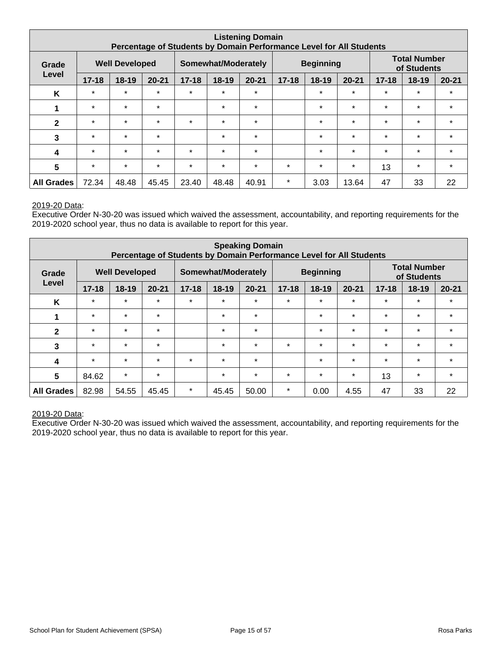| <b>Listening Domain</b><br>Percentage of Students by Domain Performance Level for All Students |                                |           |           |           |                     |           |           |                  |           |           |                                    |           |
|------------------------------------------------------------------------------------------------|--------------------------------|-----------|-----------|-----------|---------------------|-----------|-----------|------------------|-----------|-----------|------------------------------------|-----------|
| Grade                                                                                          | <b>Well Developed</b><br>Level |           |           |           | Somewhat/Moderately |           |           | <b>Beginning</b> |           |           | <b>Total Number</b><br>of Students |           |
|                                                                                                | $17 - 18$                      | $18 - 19$ | $20 - 21$ | $17 - 18$ | 18-19               | $20 - 21$ | $17 - 18$ | $18 - 19$        | $20 - 21$ | $17 - 18$ | $18 - 19$                          | $20 - 21$ |
| K                                                                                              | $\star$                        | $\star$   | $\star$   | $\star$   | $\star$             | $\star$   |           | $\star$          | $\star$   | $\star$   | $\star$                            | $\star$   |
| 1                                                                                              | $\star$                        | $\star$   | $\star$   |           | $\star$             | $\star$   |           | $\star$          | $\star$   | $\star$   | $\star$                            | $\star$   |
| $\mathbf{2}$                                                                                   | $\star$                        | $\star$   | $\star$   | $\star$   | $\star$             | $\star$   |           | $\star$          | $\star$   | $\star$   | $\star$                            | $\star$   |
| 3                                                                                              | $\star$                        | $\star$   | $\star$   |           | $\star$             | $\star$   |           | $\star$          | $\star$   | $\star$   | $\star$                            | $\star$   |
| 4                                                                                              | $\star$                        | $\star$   | $\star$   | $\star$   | $\star$             | $\star$   |           | $\star$          | $\star$   | $\star$   | $\star$                            | $\star$   |
| $5\phantom{.0}$                                                                                | $\star$                        | $\star$   | $\star$   | $\star$   | $\star$             | $\star$   | $\star$   | $\star$          | $\star$   | 13        | $\star$                            | $\star$   |
| <b>All Grades</b>                                                                              | 72.34                          | 48.48     | 45.45     | 23.40     | 48.48               | 40.91     | $\star$   | 3.03             | 13.64     | 47        | 33                                 | 22        |

Executive Order N-30-20 was issued which waived the assessment, accountability, and reporting requirements for the 2019-2020 school year, thus no data is available to report for this year.

| <b>Speaking Domain</b><br>Percentage of Students by Domain Performance Level for All Students |                                |           |           |           |                     |           |                                     |                  |         |           |                                    |           |
|-----------------------------------------------------------------------------------------------|--------------------------------|-----------|-----------|-----------|---------------------|-----------|-------------------------------------|------------------|---------|-----------|------------------------------------|-----------|
| Grade                                                                                         | <b>Well Developed</b><br>Level |           |           |           | Somewhat/Moderately |           |                                     | <b>Beginning</b> |         |           | <b>Total Number</b><br>of Students |           |
|                                                                                               | $17 - 18$                      | $18 - 19$ | $20 - 21$ | $17 - 18$ | 18-19               | $20 - 21$ | $17 - 18$<br>$18 - 19$<br>$20 - 21$ |                  |         | $17 - 18$ | $18 - 19$                          | $20 - 21$ |
| K                                                                                             | $\star$                        | $\star$   | $\star$   | $\star$   | $\star$             | $\star$   | $\star$                             | $\star$          | $\star$ | $\star$   | $\star$                            | $\star$   |
| 1                                                                                             | $\star$                        | $\star$   | $\star$   |           | $\star$             | $\star$   |                                     | $\star$          | $\star$ | $\star$   | $\star$                            | $\star$   |
| $\mathbf{2}$                                                                                  | $\star$                        | $\star$   | $\star$   |           | $\star$             | $\star$   |                                     | $\star$          | $\star$ | $\star$   | $\star$                            | $\star$   |
| 3                                                                                             | $\star$                        | $\star$   | $\star$   |           | $\star$             | $\star$   | $\star$                             | $\star$          | $\star$ | $\star$   | $\star$                            | $\star$   |
| 4                                                                                             | $\star$                        | $\star$   | $\star$   | $\star$   | $\star$             | $\star$   |                                     | $\star$          | $\star$ | $\star$   | $\star$                            | $\star$   |
| $5\phantom{.0}$                                                                               | 84.62                          | $\star$   | $\star$   |           | $\star$             | $\star$   | $\star$                             | $\star$          | $\star$ | 13        | $\star$                            | $\star$   |
| <b>All Grades</b>                                                                             | 82.98                          | 54.55     | 45.45     | $\star$   | 45.45               | 50.00     | $\star$                             | 0.00             | 4.55    | 47        | 33                                 | 22        |

#### 2019-20 Data: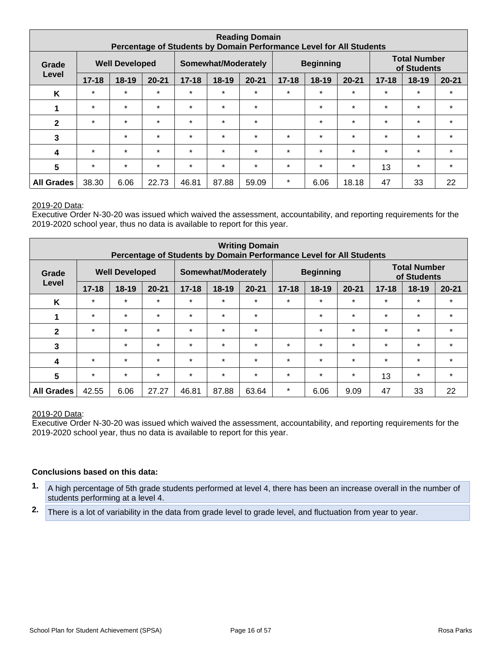| <b>Reading Domain</b><br>Percentage of Students by Domain Performance Level for All Students |                                |         |           |           |                     |           |                      |                  |           |           |                                    |           |
|----------------------------------------------------------------------------------------------|--------------------------------|---------|-----------|-----------|---------------------|-----------|----------------------|------------------|-----------|-----------|------------------------------------|-----------|
| Grade                                                                                        | <b>Well Developed</b><br>Level |         |           |           | Somewhat/Moderately |           |                      | <b>Beginning</b> |           |           | <b>Total Number</b><br>of Students |           |
|                                                                                              | $17 - 18$                      | $18-19$ | $20 - 21$ | $17 - 18$ | $18 - 19$           | $20 - 21$ | $17 - 18$<br>$18-19$ |                  | $20 - 21$ | $17 - 18$ | $18 - 19$                          | $20 - 21$ |
| K                                                                                            | $\star$                        | $\star$ | $\star$   | $\star$   | $\star$             | $\star$   | $\star$              | $\star$          | $\star$   | $\star$   | $\star$                            | $\star$   |
| 1                                                                                            | $\star$                        | $\star$ | $\star$   | $\star$   | $\star$             | $\star$   |                      | $\star$          | $\star$   | $\star$   | $\star$                            | $\star$   |
| $\mathbf{2}$                                                                                 | $\star$                        | $\star$ | $\star$   | $\star$   | $\star$             | $\star$   |                      | $\star$          | $\star$   | $\star$   | $\star$                            | $\star$   |
| 3                                                                                            |                                | $\star$ | $\star$   | $\star$   | $\star$             | $\star$   | $\star$              | $\star$          | $\star$   | $\star$   | $\star$                            | $\star$   |
| 4                                                                                            | $\star$                        | $\star$ | $\star$   | $\star$   | $\star$             | $\star$   | $\star$              | $\star$          | $\star$   | $\star$   | $\star$                            | $\star$   |
| $5\phantom{1}$                                                                               | $\star$                        | $\star$ | $\star$   | $\star$   | $\star$             | $\star$   | $\star$              | $\star$          | $\star$   | 13        | $\star$                            | $\star$   |
| <b>All Grades</b>                                                                            | 38.30                          | 6.06    | 22.73     | 46.81     | 87.88               | 59.09     | $\star$              | 6.06             | 18.18     | 47        | 33                                 | 22        |

Executive Order N-30-20 was issued which waived the assessment, accountability, and reporting requirements for the 2019-2020 school year, thus no data is available to report for this year.

| <b>Writing Domain</b><br>Percentage of Students by Domain Performance Level for All Students |                                |           |           |           |                     |           |                                     |                  |         |           |                                    |           |
|----------------------------------------------------------------------------------------------|--------------------------------|-----------|-----------|-----------|---------------------|-----------|-------------------------------------|------------------|---------|-----------|------------------------------------|-----------|
| Grade                                                                                        | <b>Well Developed</b><br>Level |           |           |           | Somewhat/Moderately |           |                                     | <b>Beginning</b> |         |           | <b>Total Number</b><br>of Students |           |
|                                                                                              | $17 - 18$                      | $18 - 19$ | $20 - 21$ | $17 - 18$ | 18-19               | $20 - 21$ | $17 - 18$<br>$18 - 19$<br>$20 - 21$ |                  |         | $17 - 18$ | $18 - 19$                          | $20 - 21$ |
| K                                                                                            | $\star$                        | $\star$   | $\star$   | $\star$   | $\star$             | $\star$   | $\star$                             | $\star$          | $\star$ | $\star$   | $\star$                            | $\star$   |
| 1                                                                                            | $\star$                        | $\star$   | $\star$   | $\star$   | $\star$             | $\star$   |                                     | $\star$          | $\star$ | $\star$   | $\star$                            | $\star$   |
| $\mathbf{2}$                                                                                 | $\star$                        | $\star$   | $\star$   | $\star$   | $\star$             | $\star$   |                                     | $\star$          | $\star$ | $\star$   | $\star$                            | $\star$   |
| 3                                                                                            |                                | $\star$   | $\star$   | $\star$   | $\star$             | $\star$   | $\star$                             | $\star$          | $\star$ | $\star$   | $\star$                            | $\star$   |
| 4                                                                                            | $\star$                        | $\star$   | $\star$   | $\star$   | $\star$             | $\star$   | $\star$                             | $\star$          | $\star$ | $\star$   | $\star$                            | $\star$   |
| 5                                                                                            | $\star$                        | $\star$   | $\star$   | $\star$   | $\star$             | $\star$   | $\star$                             | $\star$          | $\star$ | 13        | $\star$                            | $\star$   |
| <b>All Grades</b>                                                                            | 42.55                          | 6.06      | 27.27     | 46.81     | 87.88               | 63.64     | $\star$                             | 6.06             | 9.09    | 47        | 33                                 | 22        |

#### 2019-20 Data:

Executive Order N-30-20 was issued which waived the assessment, accountability, and reporting requirements for the 2019-2020 school year, thus no data is available to report for this year.

#### **Conclusions based on this data:**

- **1.** A high percentage of 5th grade students performed at level 4, there has been an increase overall in the number of students performing at a level 4.
- **2.** There is a lot of variability in the data from grade level to grade level, and fluctuation from year to year.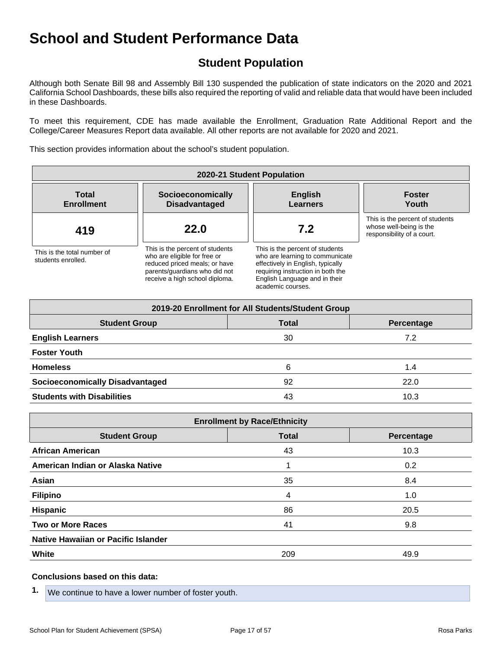## **Student Population**

Although both Senate Bill 98 and Assembly Bill 130 suspended the publication of state indicators on the 2020 and 2021 California School Dashboards, these bills also required the reporting of valid and reliable data that would have been included in these Dashboards.

To meet this requirement, CDE has made available the Enrollment, Graduation Rate Additional Report and the College/Career Measures Report data available. All other reports are not available for 2020 and 2021.

This section provides information about the school's student population.

| 2020-21 Student Population                        |                                                                                                                                                                     |                                                                                                                                                                                                    |                                                                                          |  |  |  |  |  |  |  |  |
|---------------------------------------------------|---------------------------------------------------------------------------------------------------------------------------------------------------------------------|----------------------------------------------------------------------------------------------------------------------------------------------------------------------------------------------------|------------------------------------------------------------------------------------------|--|--|--|--|--|--|--|--|
| <b>Total</b><br><b>Enrollment</b>                 | Socioeconomically<br><b>Disadvantaged</b>                                                                                                                           | <b>English</b><br><b>Learners</b>                                                                                                                                                                  | <b>Foster</b><br>Youth                                                                   |  |  |  |  |  |  |  |  |
| 419                                               | 22.0                                                                                                                                                                | 7.2                                                                                                                                                                                                | This is the percent of students<br>whose well-being is the<br>responsibility of a court. |  |  |  |  |  |  |  |  |
| This is the total number of<br>students enrolled. | This is the percent of students<br>who are eligible for free or<br>reduced priced meals; or have<br>parents/quardians who did not<br>receive a high school diploma. | This is the percent of students<br>who are learning to communicate<br>effectively in English, typically<br>requiring instruction in both the<br>English Language and in their<br>academic courses. |                                                                                          |  |  |  |  |  |  |  |  |

| 2019-20 Enrollment for All Students/Student Group  |    |      |  |  |  |
|----------------------------------------------------|----|------|--|--|--|
| <b>Student Group</b><br><b>Total</b><br>Percentage |    |      |  |  |  |
| <b>English Learners</b>                            | 30 | 7.2  |  |  |  |
| <b>Foster Youth</b>                                |    |      |  |  |  |
| <b>Homeless</b>                                    | 6  | 1.4  |  |  |  |
| <b>Socioeconomically Disadvantaged</b>             | 92 | 22.0 |  |  |  |
| <b>Students with Disabilities</b>                  | 43 | 10.3 |  |  |  |

| <b>Enrollment by Race/Ethnicity</b>                |     |      |  |  |  |
|----------------------------------------------------|-----|------|--|--|--|
| <b>Total</b><br><b>Student Group</b><br>Percentage |     |      |  |  |  |
| <b>African American</b>                            | 43  | 10.3 |  |  |  |
| American Indian or Alaska Native                   |     | 0.2  |  |  |  |
| Asian                                              | 35  | 8.4  |  |  |  |
| <b>Filipino</b>                                    | 4   | 1.0  |  |  |  |
| <b>Hispanic</b>                                    | 86  | 20.5 |  |  |  |
| <b>Two or More Races</b>                           | 41  | 9.8  |  |  |  |
| Native Hawaiian or Pacific Islander                |     |      |  |  |  |
| <b>White</b>                                       | 209 | 49.9 |  |  |  |

#### **Conclusions based on this data:**

**1.** We continue to have a lower number of foster youth.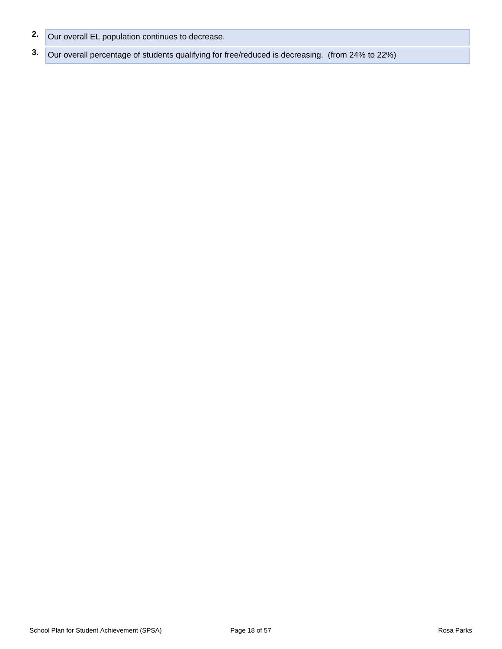- **2.** Our overall EL population continues to decrease.
- **3.** Our overall percentage of students qualifying for free/reduced is decreasing. (from 24% to 22%)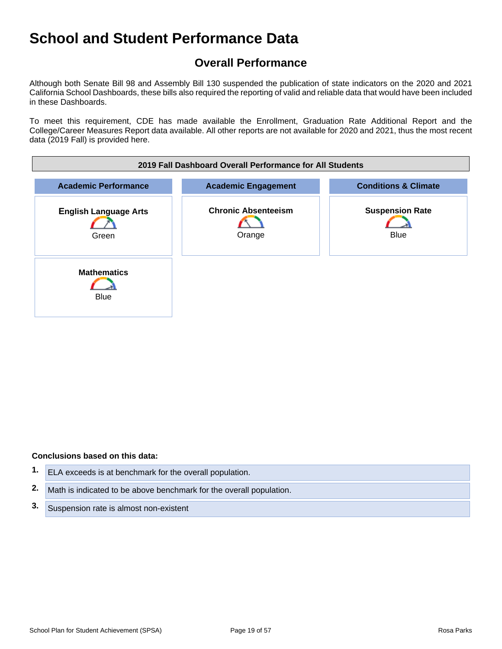## **Overall Performance**

Although both Senate Bill 98 and Assembly Bill 130 suspended the publication of state indicators on the 2020 and 2021 California School Dashboards, these bills also required the reporting of valid and reliable data that would have been included in these Dashboards.

To meet this requirement, CDE has made available the Enrollment, Graduation Rate Additional Report and the College/Career Measures Report data available. All other reports are not available for 2020 and 2021, thus the most recent data (2019 Fall) is provided here.



#### **Conclusions based on this data:**

- **1.** ELA exceeds is at benchmark for the overall population. **2.** Math is indicated to be above benchmark for the overall population.
- **3.** Suspension rate is almost non-existent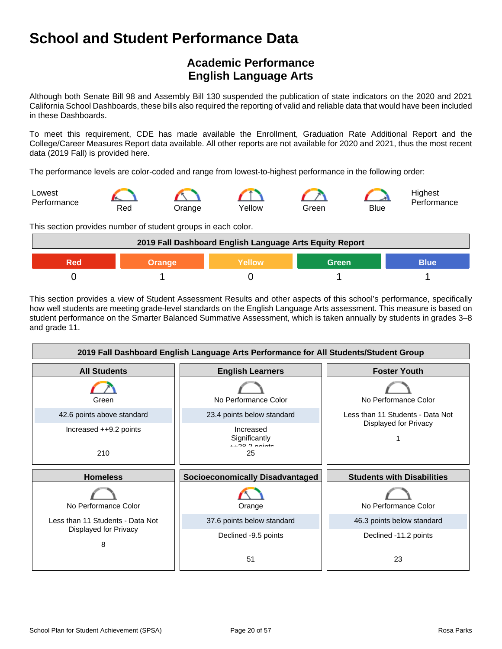## **Academic Performance English Language Arts**

Although both Senate Bill 98 and Assembly Bill 130 suspended the publication of state indicators on the 2020 and 2021 California School Dashboards, these bills also required the reporting of valid and reliable data that would have been included in these Dashboards.

To meet this requirement, CDE has made available the Enrollment, Graduation Rate Additional Report and the College/Career Measures Report data available. All other reports are not available for 2020 and 2021, thus the most recent data (2019 Fall) is provided here.

The performance levels are color-coded and range from lowest-to-highest performance in the following order:



This section provides number of student groups in each color.



This section provides a view of Student Assessment Results and other aspects of this school's performance, specifically how well students are meeting grade-level standards on the English Language Arts assessment. This measure is based on student performance on the Smarter Balanced Summative Assessment, which is taken annually by students in grades 3–8 and grade 11.

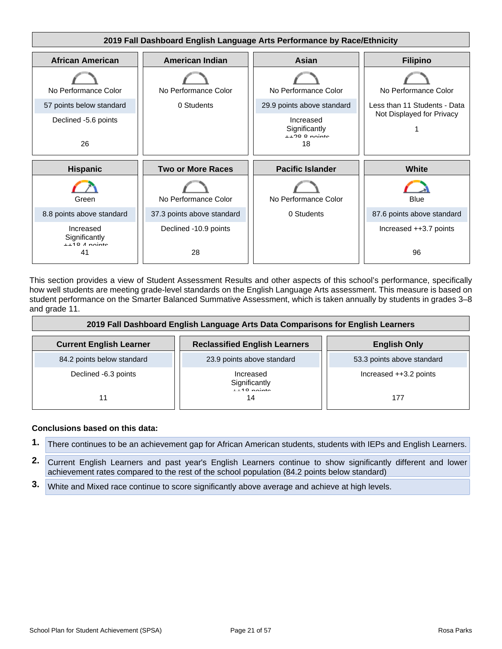

This section provides a view of Student Assessment Results and other aspects of this school's performance, specifically how well students are meeting grade-level standards on the English Language Arts assessment. This measure is based on student performance on the Smarter Balanced Summative Assessment, which is taken annually by students in grades 3–8 and grade 11.

| 2019 Fall Dashboard English Language Arts Data Comparisons for English Learners |                                            |                            |  |
|---------------------------------------------------------------------------------|--------------------------------------------|----------------------------|--|
| <b>Current English Learner</b>                                                  | <b>Reclassified English Learners</b>       | <b>English Only</b>        |  |
| 84.2 points below standard                                                      | 23.9 points above standard                 | 53.3 points above standard |  |
| Declined -6.3 points                                                            | Increased<br>Significantly<br>$119$ nointe | Increased ++3.2 points     |  |
| 11                                                                              | 14                                         | 177                        |  |

#### **Conclusions based on this data:**

- **1.** There continues to be an achievement gap for African American students, students with IEPs and English Learners.
- **2.** Current English Learners and past year's English Learners continue to show significantly different and lower achievement rates compared to the rest of the school population (84.2 points below standard)
- **3.** White and Mixed race continue to score significantly above average and achieve at high levels.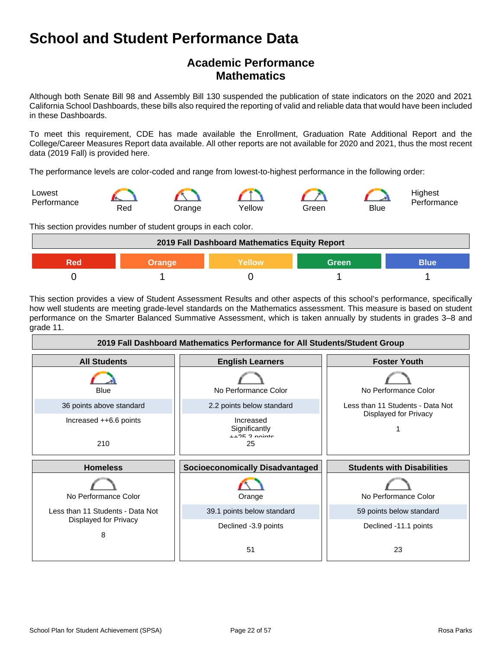## **Academic Performance Mathematics**

Although both Senate Bill 98 and Assembly Bill 130 suspended the publication of state indicators on the 2020 and 2021 California School Dashboards, these bills also required the reporting of valid and reliable data that would have been included in these Dashboards.

To meet this requirement, CDE has made available the Enrollment, Graduation Rate Additional Report and the College/Career Measures Report data available. All other reports are not available for 2020 and 2021, thus the most recent data (2019 Fall) is provided here.

The performance levels are color-coded and range from lowest-to-highest performance in the following order:



This section provides number of student groups in each color.



This section provides a view of Student Assessment Results and other aspects of this school's performance, specifically how well students are meeting grade-level standards on the Mathematics assessment. This measure is based on student performance on the Smarter Balanced Summative Assessment, which is taken annually by students in grades 3–8 and grade 11.

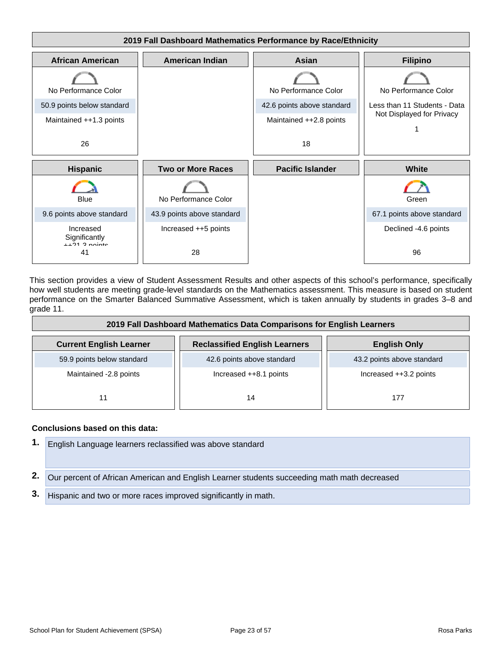

This section provides a view of Student Assessment Results and other aspects of this school's performance, specifically how well students are meeting grade-level standards on the Mathematics assessment. This measure is based on student performance on the Smarter Balanced Summative Assessment, which is taken annually by students in grades 3–8 and grade 11.

| 2019 Fall Dashboard Mathematics Data Comparisons for English Learners |                                      |                            |  |
|-----------------------------------------------------------------------|--------------------------------------|----------------------------|--|
| <b>Current English Learner</b>                                        | <b>Reclassified English Learners</b> | <b>English Only</b>        |  |
| 59.9 points below standard                                            | 42.6 points above standard           | 43.2 points above standard |  |
| Maintained -2.8 points                                                | Increased $++8.1$ points             | Increased ++3.2 points     |  |
| 11                                                                    | 14                                   | 177                        |  |

#### **Conclusions based on this data:**

**1.** English Language learners reclassified was above standard **2.** Our percent of African American and English Learner students succeeding math math decreased **3.** Hispanic and two or more races improved significantly in math.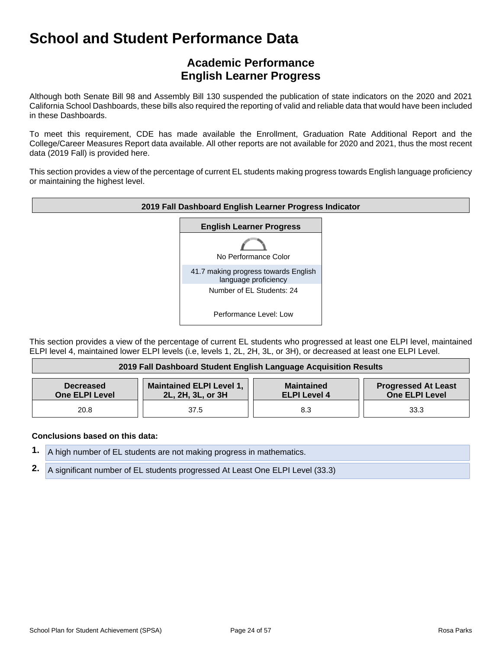## **Academic Performance English Learner Progress**

Although both Senate Bill 98 and Assembly Bill 130 suspended the publication of state indicators on the 2020 and 2021 California School Dashboards, these bills also required the reporting of valid and reliable data that would have been included in these Dashboards.

To meet this requirement, CDE has made available the Enrollment, Graduation Rate Additional Report and the College/Career Measures Report data available. All other reports are not available for 2020 and 2021, thus the most recent data (2019 Fall) is provided here.

This section provides a view of the percentage of current EL students making progress towards English language proficiency or maintaining the highest level.



This section provides a view of the percentage of current EL students who progressed at least one ELPI level, maintained ELPI level 4, maintained lower ELPI levels (i.e, levels 1, 2L, 2H, 3L, or 3H), or decreased at least one ELPI Level.

| 2019 Fall Dashboard Student English Language Acquisition Results |                                                      |                                          |                                                     |
|------------------------------------------------------------------|------------------------------------------------------|------------------------------------------|-----------------------------------------------------|
| <b>Decreased</b><br><b>One ELPI Level</b>                        | <b>Maintained ELPI Level 1,</b><br>2L, 2H, 3L, or 3H | <b>Maintained</b><br><b>ELPI Level 4</b> | <b>Progressed At Least</b><br><b>One ELPI Level</b> |
| 20.8                                                             | 37.5                                                 | 8.3                                      | 33.3                                                |

#### **Conclusions based on this data:**

- **1.** A high number of EL students are not making progress in mathematics.
- **2.** A significant number of EL students progressed At Least One ELPI Level (33.3)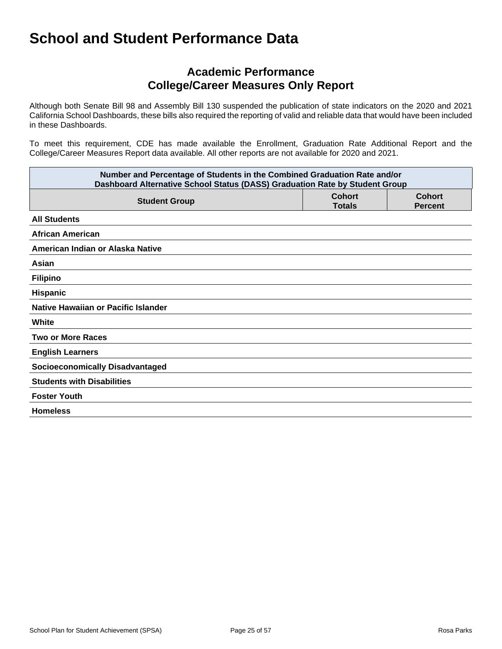## **Academic Performance College/Career Measures Only Report**

Although both Senate Bill 98 and Assembly Bill 130 suspended the publication of state indicators on the 2020 and 2021 California School Dashboards, these bills also required the reporting of valid and reliable data that would have been included in these Dashboards.

To meet this requirement, CDE has made available the Enrollment, Graduation Rate Additional Report and the College/Career Measures Report data available. All other reports are not available for 2020 and 2021.

| Number and Percentage of Students in the Combined Graduation Rate and/or<br>Dashboard Alternative School Status (DASS) Graduation Rate by Student Group |                                |                                 |  |
|---------------------------------------------------------------------------------------------------------------------------------------------------------|--------------------------------|---------------------------------|--|
| <b>Student Group</b>                                                                                                                                    | <b>Cohort</b><br><b>Totals</b> | <b>Cohort</b><br><b>Percent</b> |  |
| <b>All Students</b>                                                                                                                                     |                                |                                 |  |
| <b>African American</b>                                                                                                                                 |                                |                                 |  |
| American Indian or Alaska Native                                                                                                                        |                                |                                 |  |
| Asian                                                                                                                                                   |                                |                                 |  |
| <b>Filipino</b>                                                                                                                                         |                                |                                 |  |
| Hispanic                                                                                                                                                |                                |                                 |  |
| Native Hawaiian or Pacific Islander                                                                                                                     |                                |                                 |  |
| White                                                                                                                                                   |                                |                                 |  |
| <b>Two or More Races</b>                                                                                                                                |                                |                                 |  |
| <b>English Learners</b>                                                                                                                                 |                                |                                 |  |
| <b>Socioeconomically Disadvantaged</b>                                                                                                                  |                                |                                 |  |
| <b>Students with Disabilities</b>                                                                                                                       |                                |                                 |  |
| <b>Foster Youth</b>                                                                                                                                     |                                |                                 |  |
| <b>Homeless</b>                                                                                                                                         |                                |                                 |  |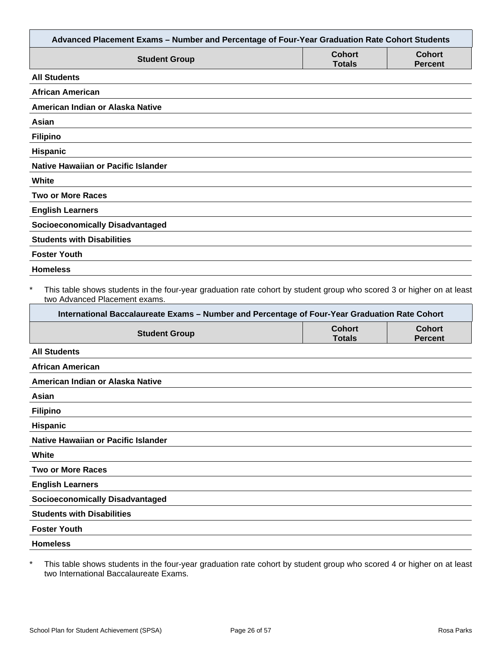| Advanced Placement Exams - Number and Percentage of Four-Year Graduation Rate Cohort Students                                                                                                                                                                     |                                |                                 |
|-------------------------------------------------------------------------------------------------------------------------------------------------------------------------------------------------------------------------------------------------------------------|--------------------------------|---------------------------------|
| <b>Student Group</b>                                                                                                                                                                                                                                              | <b>Cohort</b><br><b>Totals</b> | <b>Cohort</b><br><b>Percent</b> |
| <b>All Students</b>                                                                                                                                                                                                                                               |                                |                                 |
| <b>African American</b>                                                                                                                                                                                                                                           |                                |                                 |
| American Indian or Alaska Native                                                                                                                                                                                                                                  |                                |                                 |
| Asian                                                                                                                                                                                                                                                             |                                |                                 |
| <b>Filipino</b>                                                                                                                                                                                                                                                   |                                |                                 |
| Hispanic                                                                                                                                                                                                                                                          |                                |                                 |
| <b>Native Hawaiian or Pacific Islander</b>                                                                                                                                                                                                                        |                                |                                 |
| White                                                                                                                                                                                                                                                             |                                |                                 |
| <b>Two or More Races</b>                                                                                                                                                                                                                                          |                                |                                 |
| <b>English Learners</b>                                                                                                                                                                                                                                           |                                |                                 |
| <b>Socioeconomically Disadvantaged</b>                                                                                                                                                                                                                            |                                |                                 |
| <b>Students with Disabilities</b>                                                                                                                                                                                                                                 |                                |                                 |
| <b>Foster Youth</b>                                                                                                                                                                                                                                               |                                |                                 |
| <b>Homeless</b>                                                                                                                                                                                                                                                   |                                |                                 |
| $\ast$<br>This table shows students in the four-year graduation rate cohort by student group who scored 3 or higher on at least<br>two Advanced Placement exams.<br>International Baccalaureate Exams - Number and Percentage of Four-Year Graduation Rate Cohort |                                |                                 |
| <b>Student Group</b>                                                                                                                                                                                                                                              | <b>Cohort</b><br><b>Totals</b> | <b>Cohort</b><br><b>Percent</b> |
| <b>All Students</b>                                                                                                                                                                                                                                               |                                |                                 |
| <b>African American</b>                                                                                                                                                                                                                                           |                                |                                 |
| American Indian or Alaska Native                                                                                                                                                                                                                                  |                                |                                 |
| Asian                                                                                                                                                                                                                                                             |                                |                                 |
| <b>Filipino</b>                                                                                                                                                                                                                                                   |                                |                                 |
| Hispanic                                                                                                                                                                                                                                                          |                                |                                 |
| Native Hawaiian or Pacific Islander                                                                                                                                                                                                                               |                                |                                 |
| White                                                                                                                                                                                                                                                             |                                |                                 |
| <b>Two or More Races</b>                                                                                                                                                                                                                                          |                                |                                 |
| <b>English Learners</b>                                                                                                                                                                                                                                           |                                |                                 |
| <b>Socioeconomically Disadvantaged</b>                                                                                                                                                                                                                            |                                |                                 |
| <b>Students with Disabilities</b>                                                                                                                                                                                                                                 |                                |                                 |
| <b>Foster Youth</b>                                                                                                                                                                                                                                               |                                |                                 |
| <b>Homeless</b>                                                                                                                                                                                                                                                   |                                |                                 |
|                                                                                                                                                                                                                                                                   |                                |                                 |

\* This table shows students in the four-year graduation rate cohort by student group who scored 4 or higher on at least two International Baccalaureate Exams.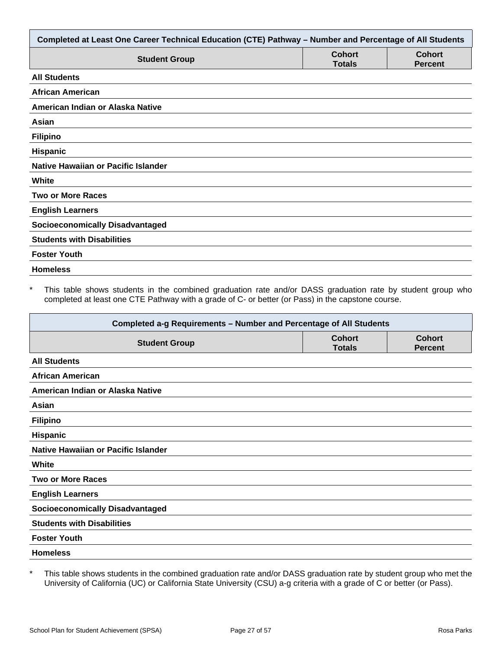| Completed at Least One Career Technical Education (CTE) Pathway - Number and Percentage of All Students |                                |                                 |
|---------------------------------------------------------------------------------------------------------|--------------------------------|---------------------------------|
| <b>Student Group</b>                                                                                    | <b>Cohort</b><br><b>Totals</b> | <b>Cohort</b><br><b>Percent</b> |
| <b>All Students</b>                                                                                     |                                |                                 |
| African American                                                                                        |                                |                                 |
| American Indian or Alaska Native                                                                        |                                |                                 |
| Asian                                                                                                   |                                |                                 |
| <b>Filipino</b>                                                                                         |                                |                                 |
| <b>Hispanic</b>                                                                                         |                                |                                 |
| <b>Native Hawaiian or Pacific Islander</b>                                                              |                                |                                 |
| White                                                                                                   |                                |                                 |
| <b>Two or More Races</b>                                                                                |                                |                                 |
| <b>English Learners</b>                                                                                 |                                |                                 |
| <b>Socioeconomically Disadvantaged</b>                                                                  |                                |                                 |
| <b>Students with Disabilities</b>                                                                       |                                |                                 |
| <b>Foster Youth</b>                                                                                     |                                |                                 |
| <b>Homeless</b>                                                                                         |                                |                                 |

This table shows students in the combined graduation rate and/or DASS graduation rate by student group who completed at least one CTE Pathway with a grade of C- or better (or Pass) in the capstone course.

| Completed a-g Requirements - Number and Percentage of All Students |                                |                                 |
|--------------------------------------------------------------------|--------------------------------|---------------------------------|
| <b>Student Group</b>                                               | <b>Cohort</b><br><b>Totals</b> | <b>Cohort</b><br><b>Percent</b> |
| <b>All Students</b>                                                |                                |                                 |
| <b>African American</b>                                            |                                |                                 |
| American Indian or Alaska Native                                   |                                |                                 |
| Asian                                                              |                                |                                 |
| <b>Filipino</b>                                                    |                                |                                 |
| <b>Hispanic</b>                                                    |                                |                                 |
| Native Hawaiian or Pacific Islander                                |                                |                                 |
| White                                                              |                                |                                 |
| <b>Two or More Races</b>                                           |                                |                                 |
| <b>English Learners</b>                                            |                                |                                 |
| <b>Socioeconomically Disadvantaged</b>                             |                                |                                 |
| <b>Students with Disabilities</b>                                  |                                |                                 |
| <b>Foster Youth</b>                                                |                                |                                 |
| <b>Homeless</b>                                                    |                                |                                 |

\* This table shows students in the combined graduation rate and/or DASS graduation rate by student group who met the University of California (UC) or California State University (CSU) a-g criteria with a grade of C or better (or Pass).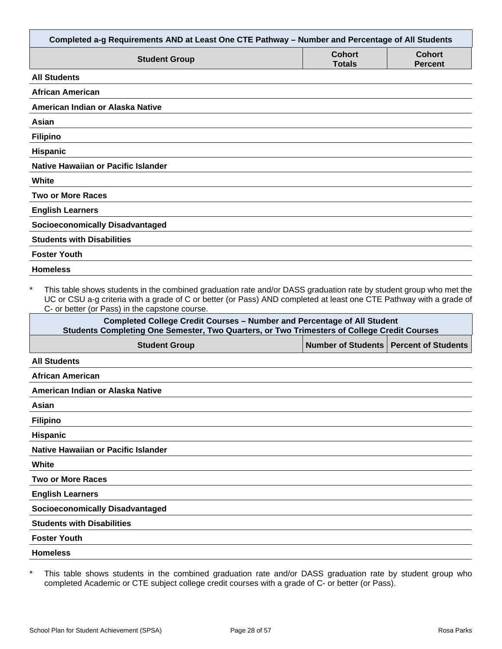| Completed a-g Requirements AND at Least One CTE Pathway - Number and Percentage of All Students                                                                                                                                                                                                        |                                |                                 |
|--------------------------------------------------------------------------------------------------------------------------------------------------------------------------------------------------------------------------------------------------------------------------------------------------------|--------------------------------|---------------------------------|
| <b>Student Group</b>                                                                                                                                                                                                                                                                                   | <b>Cohort</b><br><b>Totals</b> | <b>Cohort</b><br><b>Percent</b> |
| <b>All Students</b>                                                                                                                                                                                                                                                                                    |                                |                                 |
| <b>African American</b>                                                                                                                                                                                                                                                                                |                                |                                 |
| American Indian or Alaska Native                                                                                                                                                                                                                                                                       |                                |                                 |
| Asian                                                                                                                                                                                                                                                                                                  |                                |                                 |
| <b>Filipino</b>                                                                                                                                                                                                                                                                                        |                                |                                 |
| Hispanic                                                                                                                                                                                                                                                                                               |                                |                                 |
| <b>Native Hawaiian or Pacific Islander</b>                                                                                                                                                                                                                                                             |                                |                                 |
| White                                                                                                                                                                                                                                                                                                  |                                |                                 |
| <b>Two or More Races</b>                                                                                                                                                                                                                                                                               |                                |                                 |
| <b>English Learners</b>                                                                                                                                                                                                                                                                                |                                |                                 |
| <b>Socioeconomically Disadvantaged</b>                                                                                                                                                                                                                                                                 |                                |                                 |
| <b>Students with Disabilities</b>                                                                                                                                                                                                                                                                      |                                |                                 |
| <b>Foster Youth</b>                                                                                                                                                                                                                                                                                    |                                |                                 |
| <b>Homeless</b>                                                                                                                                                                                                                                                                                        |                                |                                 |
| $\star$<br>This table shows students in the combined graduation rate and/or DASS graduation rate by student group who met the<br>UC or CSU a-g criteria with a grade of C or better (or Pass) AND completed at least one CTE Pathway with a grade of<br>C- or better (or Pass) in the capstone course. |                                |                                 |
| <b>Completed College Credit Courses - Number and Percentage of All Student</b><br>Students Completing One Semester, Two Quarters, or Two Trimesters of College Credit Courses                                                                                                                          |                                |                                 |
| <b>Student Group</b>                                                                                                                                                                                                                                                                                   | <b>Number of Students</b>      | <b>Percent of Students</b>      |
| <b>All Students</b>                                                                                                                                                                                                                                                                                    |                                |                                 |
| <b>African American</b>                                                                                                                                                                                                                                                                                |                                |                                 |
| American Indian or Alaska Native                                                                                                                                                                                                                                                                       |                                |                                 |

| ۰, |
|----|
|    |

**Filipino**

**Hispanic**

**Native Hawaiian or Pacific Islander**

**White**

**Two or More Races**

**English Learners**

**Socioeconomically Disadvantaged**

**Students with Disabilities**

**Foster Youth**

**Homeless**

\* This table shows students in the combined graduation rate and/or DASS graduation rate by student group who completed Academic or CTE subject college credit courses with a grade of C- or better (or Pass).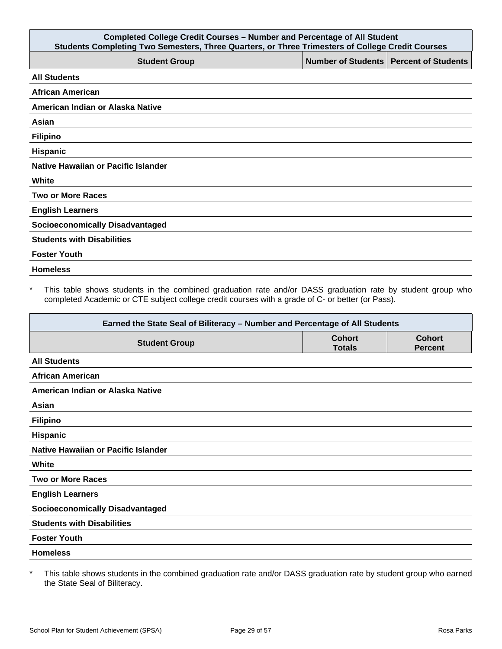| <b>Completed College Credit Courses - Number and Percentage of All Student</b><br>Students Completing Two Semesters, Three Quarters, or Three Trimesters of College Credit Courses |                                          |  |  |
|------------------------------------------------------------------------------------------------------------------------------------------------------------------------------------|------------------------------------------|--|--|
| <b>Student Group</b>                                                                                                                                                               | Number of Students   Percent of Students |  |  |
| <b>All Students</b>                                                                                                                                                                |                                          |  |  |
| <b>African American</b>                                                                                                                                                            |                                          |  |  |
| American Indian or Alaska Native                                                                                                                                                   |                                          |  |  |
| Asian                                                                                                                                                                              |                                          |  |  |
| <b>Filipino</b>                                                                                                                                                                    |                                          |  |  |
| Hispanic                                                                                                                                                                           |                                          |  |  |
| Native Hawaiian or Pacific Islander                                                                                                                                                |                                          |  |  |
| White                                                                                                                                                                              |                                          |  |  |
| <b>Two or More Races</b>                                                                                                                                                           |                                          |  |  |
| <b>English Learners</b>                                                                                                                                                            |                                          |  |  |
| <b>Socioeconomically Disadvantaged</b>                                                                                                                                             |                                          |  |  |
| <b>Students with Disabilities</b>                                                                                                                                                  |                                          |  |  |
| <b>Foster Youth</b>                                                                                                                                                                |                                          |  |  |
| <b>Homeless</b>                                                                                                                                                                    |                                          |  |  |

\* This table shows students in the combined graduation rate and/or DASS graduation rate by student group who completed Academic or CTE subject college credit courses with a grade of C- or better (or Pass).

| Earned the State Seal of Biliteracy - Number and Percentage of All Students |                                |                                 |
|-----------------------------------------------------------------------------|--------------------------------|---------------------------------|
| <b>Student Group</b>                                                        | <b>Cohort</b><br><b>Totals</b> | <b>Cohort</b><br><b>Percent</b> |
| <b>All Students</b>                                                         |                                |                                 |
| <b>African American</b>                                                     |                                |                                 |
| American Indian or Alaska Native                                            |                                |                                 |
| Asian                                                                       |                                |                                 |
| <b>Filipino</b>                                                             |                                |                                 |
| <b>Hispanic</b>                                                             |                                |                                 |
| Native Hawaiian or Pacific Islander                                         |                                |                                 |
| White                                                                       |                                |                                 |
| <b>Two or More Races</b>                                                    |                                |                                 |
| <b>English Learners</b>                                                     |                                |                                 |
| <b>Socioeconomically Disadvantaged</b>                                      |                                |                                 |
| <b>Students with Disabilities</b>                                           |                                |                                 |
| <b>Foster Youth</b>                                                         |                                |                                 |
| <b>Homeless</b>                                                             |                                |                                 |

\* This table shows students in the combined graduation rate and/or DASS graduation rate by student group who earned the State Seal of Biliteracy.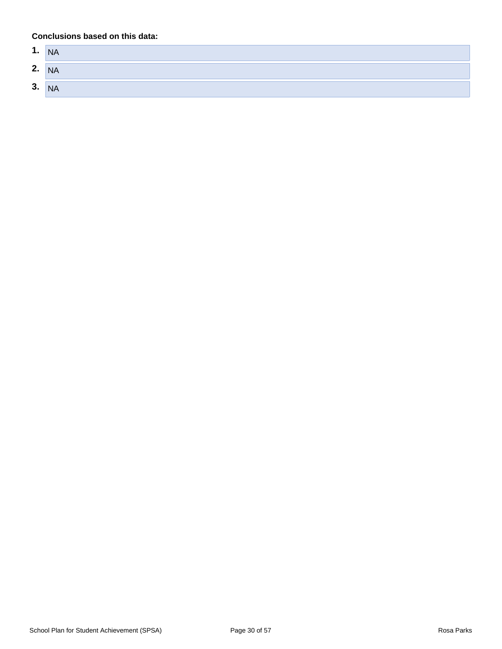#### **Conclusions based on this data:**

| 1. | <b>NA</b> |
|----|-----------|
| 2. | <b>NA</b> |
| 3. | <b>NA</b> |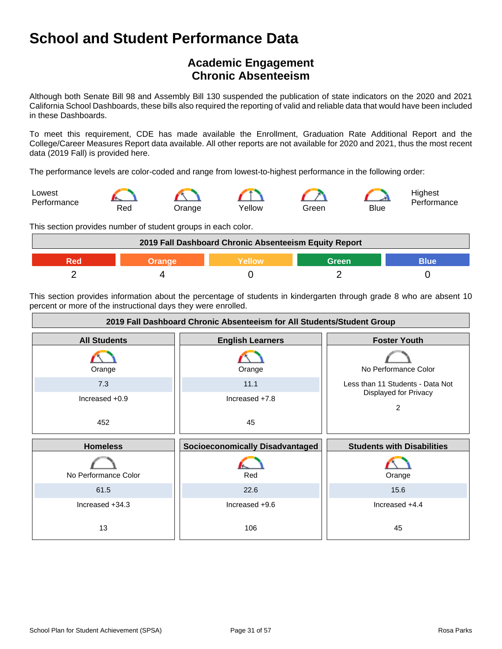## **Academic Engagement Chronic Absenteeism**

Although both Senate Bill 98 and Assembly Bill 130 suspended the publication of state indicators on the 2020 and 2021 California School Dashboards, these bills also required the reporting of valid and reliable data that would have been included in these Dashboards.

To meet this requirement, CDE has made available the Enrollment, Graduation Rate Additional Report and the College/Career Measures Report data available. All other reports are not available for 2020 and 2021, thus the most recent data (2019 Fall) is provided here.

The performance levels are color-coded and range from lowest-to-highest performance in the following order:



This section provides number of student groups in each color.

| 2019 Fall Dashboard Chronic Absenteeism Equity Report |        |         |       |      |
|-------------------------------------------------------|--------|---------|-------|------|
| RAd                                                   | Orange | Yellow\ | Green | Blue |
|                                                       |        |         |       |      |

This section provides information about the percentage of students in kindergarten through grade 8 who are absent 10 percent or more of the instructional days they were enrolled.

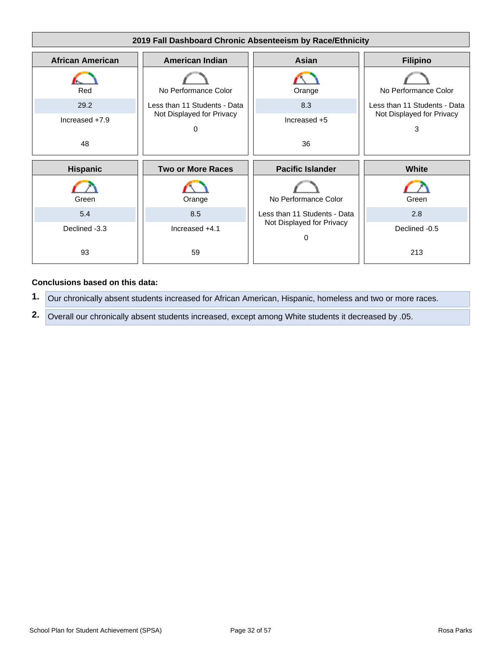

#### **Conclusions based on this data:**

- **1.** Our chronically absent students increased for African American, Hispanic, homeless and two or more races.
- **2.** Overall our chronically absent students increased, except among White students it decreased by .05.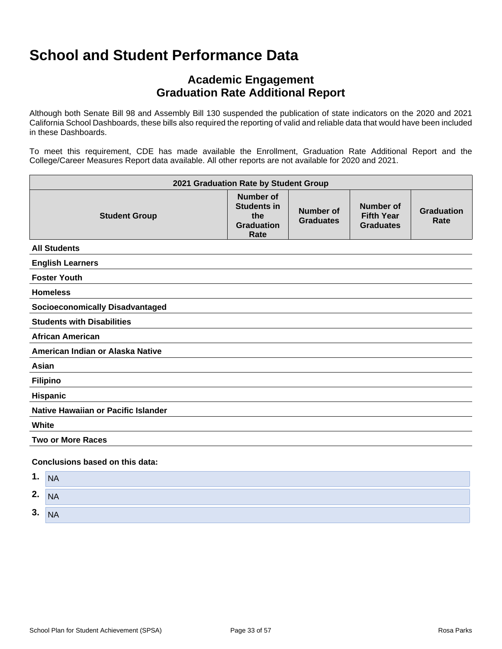## **Academic Engagement Graduation Rate Additional Report**

Although both Senate Bill 98 and Assembly Bill 130 suspended the publication of state indicators on the 2020 and 2021 California School Dashboards, these bills also required the reporting of valid and reliable data that would have been included in these Dashboards.

To meet this requirement, CDE has made available the Enrollment, Graduation Rate Additional Report and the College/Career Measures Report data available. All other reports are not available for 2020 and 2021.

| 2021 Graduation Rate by Student Group  |                                                                            |                                      |                                                    |                           |
|----------------------------------------|----------------------------------------------------------------------------|--------------------------------------|----------------------------------------------------|---------------------------|
| <b>Student Group</b>                   | <b>Number of</b><br><b>Students in</b><br>the<br><b>Graduation</b><br>Rate | <b>Number of</b><br><b>Graduates</b> | Number of<br><b>Fifth Year</b><br><b>Graduates</b> | <b>Graduation</b><br>Rate |
| <b>All Students</b>                    |                                                                            |                                      |                                                    |                           |
| <b>English Learners</b>                |                                                                            |                                      |                                                    |                           |
| <b>Foster Youth</b>                    |                                                                            |                                      |                                                    |                           |
| <b>Homeless</b>                        |                                                                            |                                      |                                                    |                           |
| <b>Socioeconomically Disadvantaged</b> |                                                                            |                                      |                                                    |                           |
| <b>Students with Disabilities</b>      |                                                                            |                                      |                                                    |                           |
| <b>African American</b>                |                                                                            |                                      |                                                    |                           |
| American Indian or Alaska Native       |                                                                            |                                      |                                                    |                           |
| Asian                                  |                                                                            |                                      |                                                    |                           |
| <b>Filipino</b>                        |                                                                            |                                      |                                                    |                           |
| <b>Hispanic</b>                        |                                                                            |                                      |                                                    |                           |
| Native Hawaiian or Pacific Islander    |                                                                            |                                      |                                                    |                           |
| White                                  |                                                                            |                                      |                                                    |                           |
| <b>Two or More Races</b>               |                                                                            |                                      |                                                    |                           |
| Conclusions based on this data:        |                                                                            |                                      |                                                    |                           |

| A<br>л. | <b>NA</b> |
|---------|-----------|
| 2.      | <b>NA</b> |
| 3.      | <b>NA</b> |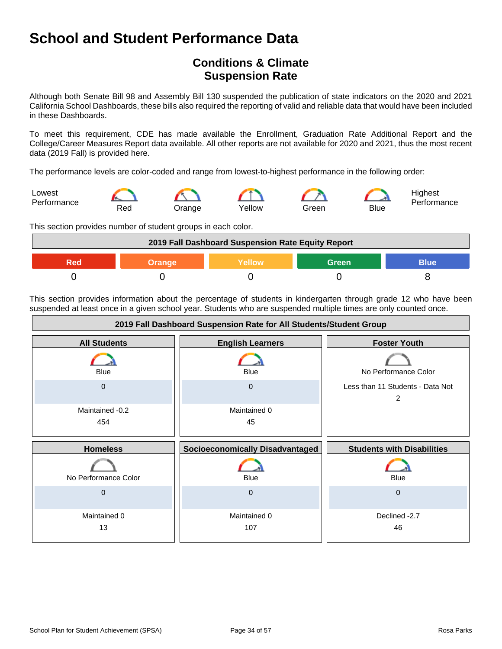## **Conditions & Climate Suspension Rate**

Although both Senate Bill 98 and Assembly Bill 130 suspended the publication of state indicators on the 2020 and 2021 California School Dashboards, these bills also required the reporting of valid and reliable data that would have been included in these Dashboards.

To meet this requirement, CDE has made available the Enrollment, Graduation Rate Additional Report and the College/Career Measures Report data available. All other reports are not available for 2020 and 2021, thus the most recent data (2019 Fall) is provided here.

The performance levels are color-coded and range from lowest-to-highest performance in the following order:



This section provides number of student groups in each color.



This section provides information about the percentage of students in kindergarten through grade 12 who have been suspended at least once in a given school year. Students who are suspended multiple times are only counted once.

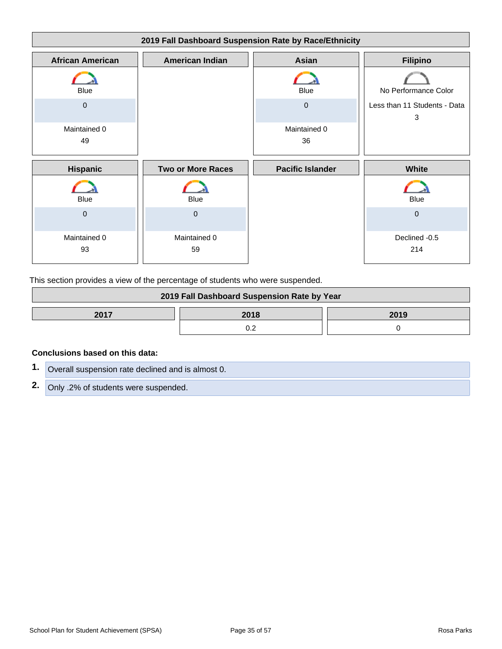| 2019 Fall Dashboard Suspension Rate by Race/Ethnicity |                          |                         |                                   |
|-------------------------------------------------------|--------------------------|-------------------------|-----------------------------------|
| <b>African American</b>                               | <b>American Indian</b>   | Asian                   | <b>Filipino</b>                   |
| Blue                                                  |                          | <b>Blue</b>             | No Performance Color              |
| $\mathbf 0$                                           |                          | $\mathbf{0}$            | Less than 11 Students - Data<br>3 |
| Maintained 0<br>49                                    |                          | Maintained 0<br>36      |                                   |
| <b>Hispanic</b>                                       | <b>Two or More Races</b> | <b>Pacific Islander</b> | White                             |
| Blue                                                  | <b>Blue</b>              |                         | <b>Blue</b>                       |
| $\mathbf{0}$                                          | $\mathbf 0$              |                         | $\mathbf{0}$                      |
| Maintained 0<br>93                                    | Maintained 0<br>59       |                         | Declined -0.5<br>214              |

This section provides a view of the percentage of students who were suspended.

| 2019 Fall Dashboard Suspension Rate by Year |      |      |
|---------------------------------------------|------|------|
| 2017                                        | 2018 | 2019 |
|                                             |      |      |

#### **Conclusions based on this data:**

| 1. Overall suspension rate declined and is almost 0. |
|------------------------------------------------------|
| 2. Only .2% of students were suspended.              |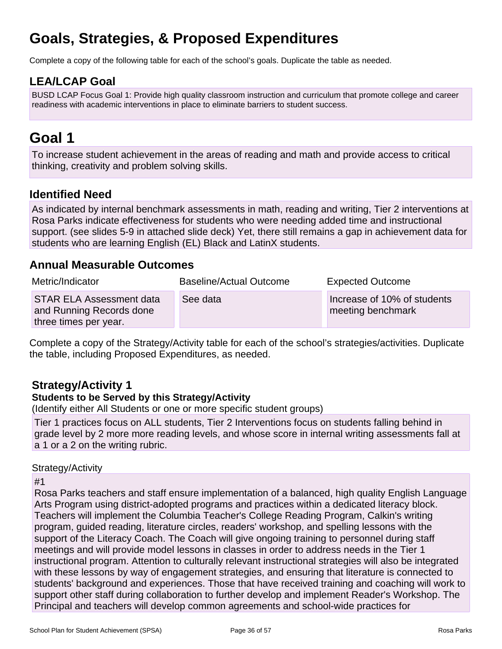# **Goals, Strategies, & Proposed Expenditures**

Complete a copy of the following table for each of the school's goals. Duplicate the table as needed.

## **LEA/LCAP Goal**

BUSD LCAP Focus Goal 1: Provide high quality classroom instruction and curriculum that promote college and career readiness with academic interventions in place to eliminate barriers to student success.

## **Goal 1**

To increase student achievement in the areas of reading and math and provide access to critical thinking, creativity and problem solving skills.

## **Identified Need**

As indicated by internal benchmark assessments in math, reading and writing, Tier 2 interventions at Rosa Parks indicate effectiveness for students who were needing added time and instructional support. (see slides 5-9 in attached slide deck) Yet, there still remains a gap in achievement data for students who are learning English (EL) Black and LatinX students.

### **Annual Measurable Outcomes**

| Metric/Indicator                                                                     | <b>Baseline/Actual Outcome</b> | <b>Expected Outcome</b>                          |
|--------------------------------------------------------------------------------------|--------------------------------|--------------------------------------------------|
| <b>STAR ELA Assessment data</b><br>and Running Records done<br>three times per year. | See data                       | Increase of 10% of students<br>meeting benchmark |

Complete a copy of the Strategy/Activity table for each of the school's strategies/activities. Duplicate the table, including Proposed Expenditures, as needed.

## **Strategy/Activity 1**

### **Students to be Served by this Strategy/Activity**

(Identify either All Students or one or more specific student groups)

Tier 1 practices focus on ALL students, Tier 2 Interventions focus on students falling behind in grade level by 2 more more reading levels, and whose score in internal writing assessments fall at a 1 or a 2 on the writing rubric.

### Strategy/Activity

### #1

Rosa Parks teachers and staff ensure implementation of a balanced, high quality English Language Arts Program using district-adopted programs and practices within a dedicated literacy block. Teachers will implement the Columbia Teacher's College Reading Program, Calkin's writing program, guided reading, literature circles, readers' workshop, and spelling lessons with the support of the Literacy Coach. The Coach will give ongoing training to personnel during staff meetings and will provide model lessons in classes in order to address needs in the Tier 1 instructional program. Attention to culturally relevant instructional strategies will also be integrated with these lessons by way of engagement strategies, and ensuring that literature is connected to students' background and experiences. Those that have received training and coaching will work to support other staff during collaboration to further develop and implement Reader's Workshop. The Principal and teachers will develop common agreements and school-wide practices for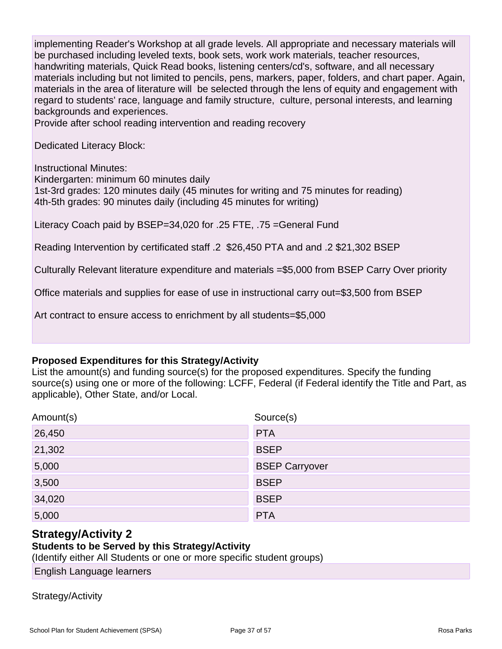implementing Reader's Workshop at all grade levels. All appropriate and necessary materials will be purchased including leveled texts, book sets, work work materials, teacher resources, handwriting materials, Quick Read books, listening centers/cd's, software, and all necessary materials including but not limited to pencils, pens, markers, paper, folders, and chart paper. Again, materials in the area of literature will be selected through the lens of equity and engagement with regard to students' race, language and family structure, culture, personal interests, and learning backgrounds and experiences.

Provide after school reading intervention and reading recovery

Dedicated Literacy Block:

Instructional Minutes:

Kindergarten: minimum 60 minutes daily 1st-3rd grades: 120 minutes daily (45 minutes for writing and 75 minutes for reading)

4th-5th grades: 90 minutes daily (including 45 minutes for writing)

Literacy Coach paid by BSEP=34,020 for .25 FTE, .75 =General Fund

Reading Intervention by certificated staff .2 \$26,450 PTA and and .2 \$21,302 BSEP

Culturally Relevant literature expenditure and materials =\$5,000 from BSEP Carry Over priority

Office materials and supplies for ease of use in instructional carry out=\$3,500 from BSEP

Art contract to ensure access to enrichment by all students=\$5,000

#### **Proposed Expenditures for this Strategy/Activity**

List the amount(s) and funding source(s) for the proposed expenditures. Specify the funding source(s) using one or more of the following: LCFF, Federal (if Federal identify the Title and Part, as applicable), Other State, and/or Local.

| Amount(s) | Source(s)             |
|-----------|-----------------------|
| 26,450    | <b>PTA</b>            |
| 21,302    | <b>BSEP</b>           |
| 5,000     | <b>BSEP Carryover</b> |
| 3,500     | <b>BSEP</b>           |
| 34,020    | <b>BSEP</b>           |
| 5,000     | <b>PTA</b>            |

### **Strategy/Activity 2**

### **Students to be Served by this Strategy/Activity**

(Identify either All Students or one or more specific student groups)

English Language learners

### Strategy/Activity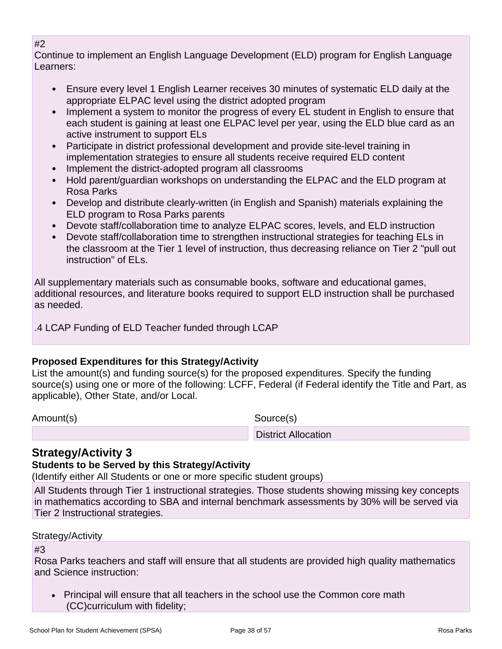### #2

Continue to implement an English Language Development (ELD) program for English Language Learners:

- Ensure every level 1 English Learner receives 30 minutes of systematic ELD daily at the appropriate ELPAC level using the district adopted program
- Implement a system to monitor the progress of every EL student in English to ensure that each student is gaining at least one ELPAC level per year, using the ELD blue card as an active instrument to support ELs
- Participate in district professional development and provide site-level training in implementation strategies to ensure all students receive required ELD content
- Implement the district-adopted program all classrooms
- Hold parent/guardian workshops on understanding the ELPAC and the ELD program at Rosa Parks
- Develop and distribute clearly-written (in English and Spanish) materials explaining the ELD program to Rosa Parks parents
- Devote staff/collaboration time to analyze ELPAC scores, levels, and ELD instruction
- Devote staff/collaboration time to strengthen instructional strategies for teaching ELs in the classroom at the Tier 1 level of instruction, thus decreasing reliance on Tier 2 "pull out instruction" of ELs.

All supplementary materials such as consumable books, software and educational games, additional resources, and literature books required to support ELD instruction shall be purchased as needed.

.4 LCAP Funding of ELD Teacher funded through LCAP

## **Proposed Expenditures for this Strategy/Activity**

List the amount(s) and funding source(s) for the proposed expenditures. Specify the funding source(s) using one or more of the following: LCFF, Federal (if Federal identify the Title and Part, as applicable), Other State, and/or Local.

Amount(s) Source(s)

District Allocation

## **Strategy/Activity 3**

### **Students to be Served by this Strategy/Activity**

(Identify either All Students or one or more specific student groups)

All Students through Tier 1 instructional strategies. Those students showing missing key concepts in mathematics according to SBA and internal benchmark assessments by 30% will be served via Tier 2 Instructional strategies.

### Strategy/Activity

#3

Rosa Parks teachers and staff will ensure that all students are provided high quality mathematics and Science instruction:

• Principal will ensure that all teachers in the school use the Common core math (CC)curriculum with fidelity;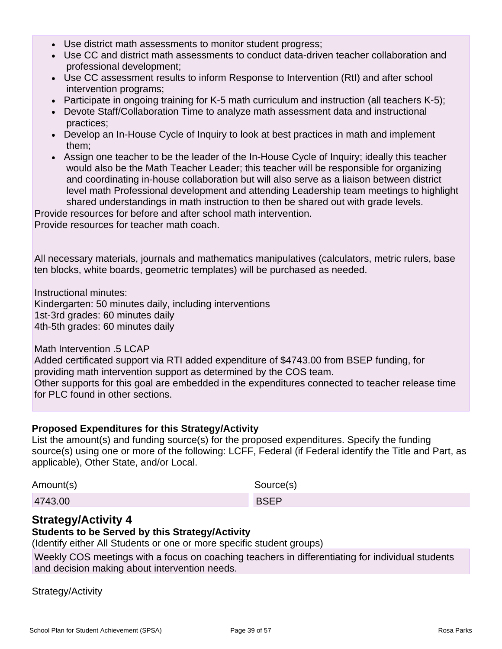- Use district math assessments to monitor student progress;
- Use CC and district math assessments to conduct data-driven teacher collaboration and professional development;
- Use CC assessment results to inform Response to Intervention (RtI) and after school intervention programs;
- Participate in ongoing training for K-5 math curriculum and instruction (all teachers K-5);
- Devote Staff/Collaboration Time to analyze math assessment data and instructional practices;
- Develop an In-House Cycle of Inquiry to look at best practices in math and implement them;
- Assign one teacher to be the leader of the In-House Cycle of Inquiry; ideally this teacher would also be the Math Teacher Leader; this teacher will be responsible for organizing and coordinating in-house collaboration but will also serve as a liaison between district level math Professional development and attending Leadership team meetings to highlight shared understandings in math instruction to then be shared out with grade levels.

Provide resources for before and after school math intervention. Provide resources for teacher math coach.

All necessary materials, journals and mathematics manipulatives (calculators, metric rulers, base ten blocks, white boards, geometric templates) will be purchased as needed.

Instructional minutes: Kindergarten: 50 minutes daily, including interventions 1st-3rd grades: 60 minutes daily 4th-5th grades: 60 minutes daily

Math Intervention .5 LCAP

Added certificated support via RTI added expenditure of \$4743.00 from BSEP funding, for providing math intervention support as determined by the COS team. Other supports for this goal are embedded in the expenditures connected to teacher release time for PLC found in other sections.

### **Proposed Expenditures for this Strategy/Activity**

List the amount(s) and funding source(s) for the proposed expenditures. Specify the funding source(s) using one or more of the following: LCFF, Federal (if Federal identify the Title and Part, as applicable), Other State, and/or Local.

| Amount(s) | Source(s)   |
|-----------|-------------|
| 4743.00   | <b>BSEP</b> |

### **Strategy/Activity 4**

### **Students to be Served by this Strategy/Activity**

(Identify either All Students or one or more specific student groups)

Weekly COS meetings with a focus on coaching teachers in differentiating for individual students and decision making about intervention needs.

Strategy/Activity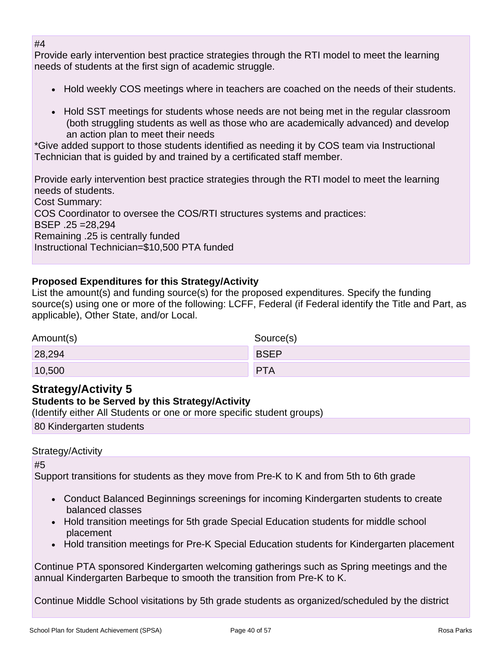#### #4

Provide early intervention best practice strategies through the RTI model to meet the learning needs of students at the first sign of academic struggle.

- Hold weekly COS meetings where in teachers are coached on the needs of their students.
- Hold SST meetings for students whose needs are not being met in the regular classroom (both struggling students as well as those who are academically advanced) and develop an action plan to meet their needs

\*Give added support to those students identified as needing it by COS team via Instructional Technician that is guided by and trained by a certificated staff member.

Provide early intervention best practice strategies through the RTI model to meet the learning needs of students.

Cost Summary: COS Coordinator to oversee the COS/RTI structures systems and practices: BSEP .25 =28,294 Remaining .25 is centrally funded Instructional Technician=\$10,500 PTA funded

### **Proposed Expenditures for this Strategy/Activity**

List the amount(s) and funding source(s) for the proposed expenditures. Specify the funding source(s) using one or more of the following: LCFF, Federal (if Federal identify the Title and Part, as applicable), Other State, and/or Local.

| Amount(s) | Source(s)   |
|-----------|-------------|
| 28,294    | <b>BSEP</b> |
| 10,500    | <b>PTA</b>  |

## **Strategy/Activity 5**

### **Students to be Served by this Strategy/Activity**

(Identify either All Students or one or more specific student groups)

80 Kindergarten students

#### Strategy/Activity

#5

Support transitions for students as they move from Pre-K to K and from 5th to 6th grade

- Conduct Balanced Beginnings screenings for incoming Kindergarten students to create balanced classes
- Hold transition meetings for 5th grade Special Education students for middle school placement
- Hold transition meetings for Pre-K Special Education students for Kindergarten placement

Continue PTA sponsored Kindergarten welcoming gatherings such as Spring meetings and the annual Kindergarten Barbeque to smooth the transition from Pre-K to K.

Continue Middle School visitations by 5th grade students as organized/scheduled by the district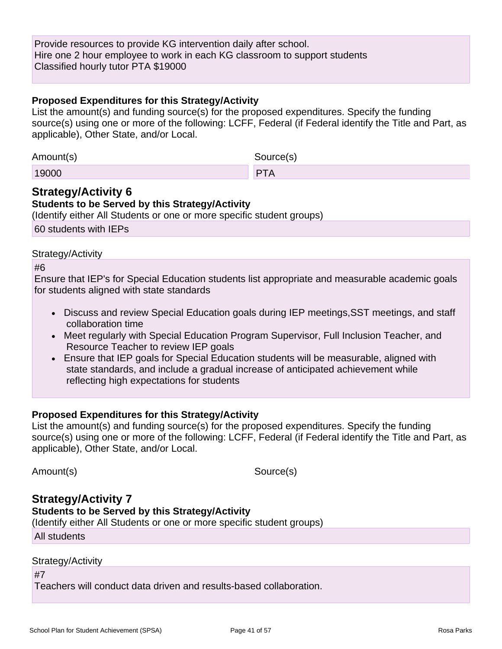Provide resources to provide KG intervention daily after school. Hire one 2 hour employee to work in each KG classroom to support students Classified hourly tutor PTA \$19000

#### **Proposed Expenditures for this Strategy/Activity**

List the amount(s) and funding source(s) for the proposed expenditures. Specify the funding source(s) using one or more of the following: LCFF, Federal (if Federal identify the Title and Part, as applicable), Other State, and/or Local.

| Amount(s) | Source(s)  |
|-----------|------------|
| 19000     | <b>PTA</b> |

### **Strategy/Activity 6**

**Students to be Served by this Strategy/Activity** (Identify either All Students or one or more specific student groups) 60 students with IEPs

#### Strategy/Activity

#6

Ensure that IEP's for Special Education students list appropriate and measurable academic goals for students aligned with state standards

- Discuss and review Special Education goals during IEP meetings, SST meetings, and staff collaboration time
- Meet regularly with Special Education Program Supervisor, Full Inclusion Teacher, and Resource Teacher to review IEP goals
- Ensure that IEP goals for Special Education students will be measurable, aligned with state standards, and include a gradual increase of anticipated achievement while reflecting high expectations for students

### **Proposed Expenditures for this Strategy/Activity**

List the amount(s) and funding source(s) for the proposed expenditures. Specify the funding source(s) using one or more of the following: LCFF, Federal (if Federal identify the Title and Part, as applicable), Other State, and/or Local.

Amount(s) Source(s)

## **Strategy/Activity 7**

**Students to be Served by this Strategy/Activity**

(Identify either All Students or one or more specific student groups)

All students

#### Strategy/Activity

#7

Teachers will conduct data driven and results-based collaboration.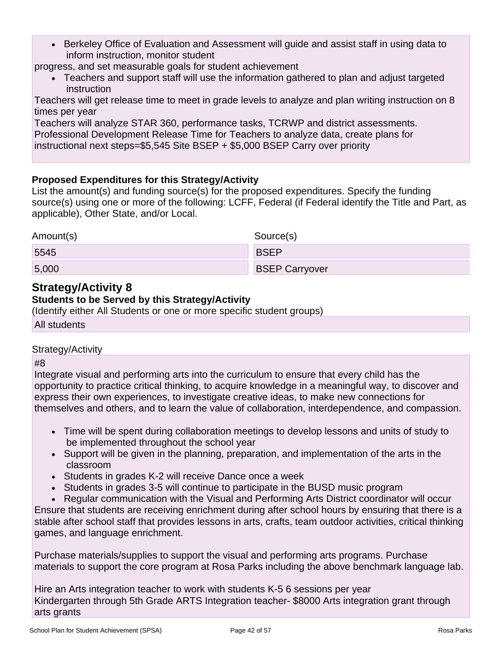• Berkeley Office of Evaluation and Assessment will guide and assist staff in using data to inform instruction, monitor student

progress, and set measurable goals for student achievement

• Teachers and support staff will use the information gathered to plan and adjust targeted instruction

Teachers will get release time to meet in grade levels to analyze and plan writing instruction on 8 times per year

Teachers will analyze STAR 360, performance tasks, TCRWP and district assessments. Professional Development Release Time for Teachers to analyze data, create plans for instructional next steps=\$5,545 Site BSEP + \$5,000 BSEP Carry over priority

### **Proposed Expenditures for this Strategy/Activity**

List the amount(s) and funding source(s) for the proposed expenditures. Specify the funding source(s) using one or more of the following: LCFF, Federal (if Federal identify the Title and Part, as applicable), Other State, and/or Local.

| Amount(s) | Source(s)             |
|-----------|-----------------------|
| 5545      | <b>BSEP</b>           |
| 5,000     | <b>BSEP Carryover</b> |

## **Strategy/Activity 8**

### **Students to be Served by this Strategy/Activity**

(Identify either All Students or one or more specific student groups)

All students

#### Strategy/Activity

#8

Integrate visual and performing arts into the curriculum to ensure that every child has the opportunity to practice critical thinking, to acquire knowledge in a meaningful way, to discover and express their own experiences, to investigate creative ideas, to make new connections for themselves and others, and to learn the value of collaboration, interdependence, and compassion.

- Time will be spent during collaboration meetings to develop lessons and units of study to be implemented throughout the school year
- Support will be given in the planning, preparation, and implementation of the arts in the classroom
- Students in grades K-2 will receive Dance once a week
- Students in grades 3-5 will continue to participate in the BUSD music program
- Regular communication with the Visual and Performing Arts District coordinator will occur

Ensure that students are receiving enrichment during after school hours by ensuring that there is a stable after school staff that provides lessons in arts, crafts, team outdoor activities, critical thinking games, and language enrichment.

Purchase materials/supplies to support the visual and performing arts programs. Purchase materials to support the core program at Rosa Parks including the above benchmark language lab.

Hire an Arts integration teacher to work with students K-5 6 sessions per year Kindergarten through 5th Grade ARTS Integration teacher- \$8000 Arts integration grant through arts grants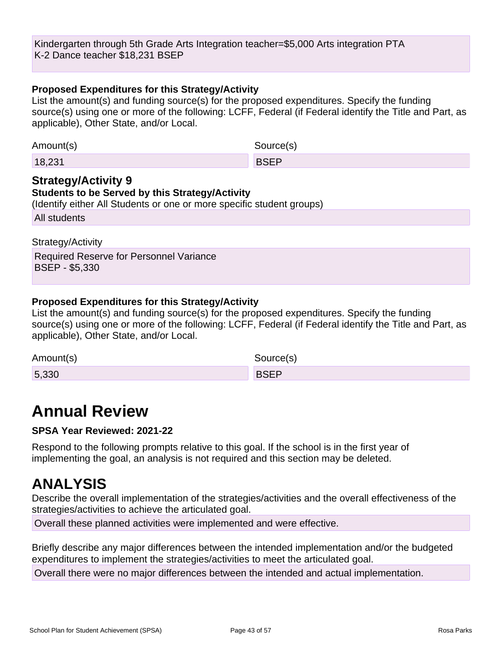Kindergarten through 5th Grade Arts Integration teacher=\$5,000 Arts integration PTA K-2 Dance teacher \$18,231 BSEP

#### **Proposed Expenditures for this Strategy/Activity**

List the amount(s) and funding source(s) for the proposed expenditures. Specify the funding source(s) using one or more of the following: LCFF, Federal (if Federal identify the Title and Part, as applicable), Other State, and/or Local.

| Amount(s) | Source(s)   |
|-----------|-------------|
| 18,231    | <b>BSEP</b> |

#### **Strategy/Activity 9 Students to be Served by this Strategy/Activity**

(Identify either All Students or one or more specific student groups)

All students

#### Strategy/Activity

Required Reserve for Personnel Variance BSEP - \$5,330

#### **Proposed Expenditures for this Strategy/Activity**

List the amount(s) and funding source(s) for the proposed expenditures. Specify the funding source(s) using one or more of the following: LCFF, Federal (if Federal identify the Title and Part, as applicable), Other State, and/or Local.

| Amount(s) | Source(s)   |
|-----------|-------------|
| 5,330     | <b>RSFP</b> |

## **Annual Review**

### **SPSA Year Reviewed: 2021-22**

Respond to the following prompts relative to this goal. If the school is in the first year of implementing the goal, an analysis is not required and this section may be deleted.

## **ANALYSIS**

Describe the overall implementation of the strategies/activities and the overall effectiveness of the strategies/activities to achieve the articulated goal.

Overall these planned activities were implemented and were effective.

Briefly describe any major differences between the intended implementation and/or the budgeted expenditures to implement the strategies/activities to meet the articulated goal.

Overall there were no major differences between the intended and actual implementation.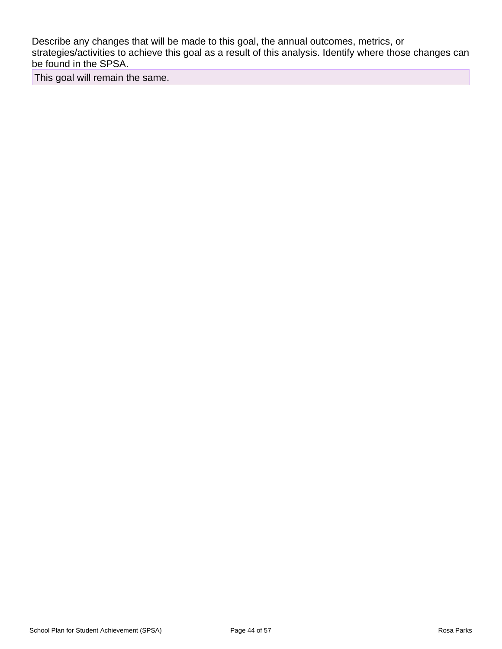Describe any changes that will be made to this goal, the annual outcomes, metrics, or strategies/activities to achieve this goal as a result of this analysis. Identify where those changes can be found in the SPSA.

This goal will remain the same.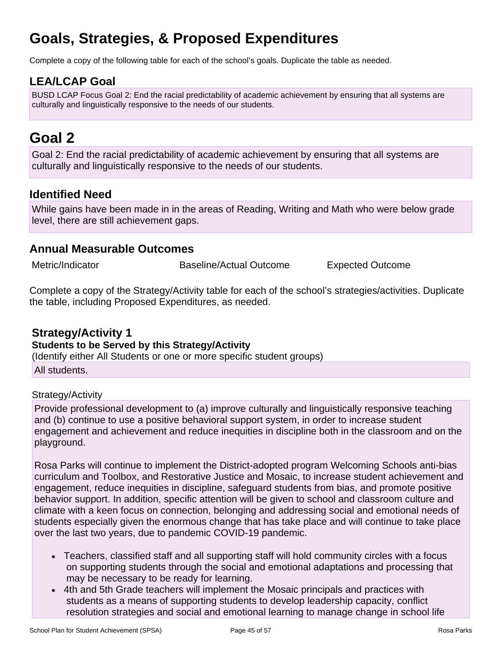# **Goals, Strategies, & Proposed Expenditures**

Complete a copy of the following table for each of the school's goals. Duplicate the table as needed.

## **LEA/LCAP Goal**

BUSD LCAP Focus Goal 2: End the racial predictability of academic achievement by ensuring that all systems are culturally and linguistically responsive to the needs of our students.

## **Goal 2**

Goal 2: End the racial predictability of academic achievement by ensuring that all systems are culturally and linguistically responsive to the needs of our students.

## **Identified Need**

While gains have been made in in the areas of Reading, Writing and Math who were below grade level, there are still achievement gaps.

### **Annual Measurable Outcomes**

Metric/Indicator Baseline/Actual Outcome Expected Outcome

Complete a copy of the Strategy/Activity table for each of the school's strategies/activities. Duplicate the table, including Proposed Expenditures, as needed.

### **Strategy/Activity 1 Students to be Served by this Strategy/Activity**

(Identify either All Students or one or more specific student groups)

All students.

### Strategy/Activity

Provide professional development to (a) improve culturally and linguistically responsive teaching and (b) continue to use a positive behavioral support system, in order to increase student engagement and achievement and reduce inequities in discipline both in the classroom and on the playground.

Rosa Parks will continue to implement the District-adopted program Welcoming Schools anti-bias curriculum and Toolbox, and Restorative Justice and Mosaic, to increase student achievement and engagement, reduce inequities in discipline, safeguard students from bias, and promote positive behavior support. In addition, specific attention will be given to school and classroom culture and climate with a keen focus on connection, belonging and addressing social and emotional needs of students especially given the enormous change that has take place and will continue to take place over the last two years, due to pandemic COVID-19 pandemic.

- Teachers, classified staff and all supporting staff will hold community circles with a focus on supporting students through the social and emotional adaptations and processing that may be necessary to be ready for learning.
- 4th and 5th Grade teachers will implement the Mosaic principals and practices with students as a means of supporting students to develop leadership capacity, conflict resolution strategies and social and emotional learning to manage change in school life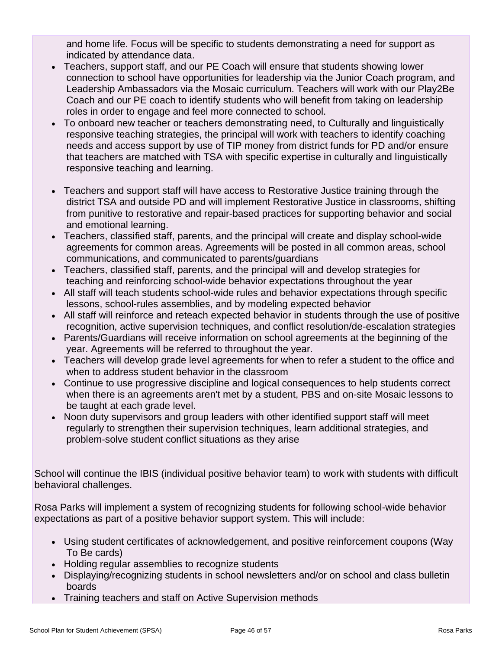and home life. Focus will be specific to students demonstrating a need for support as indicated by attendance data.

- Teachers, support staff, and our PE Coach will ensure that students showing lower connection to school have opportunities for leadership via the Junior Coach program, and Leadership Ambassadors via the Mosaic curriculum. Teachers will work with our Play2Be Coach and our PE coach to identify students who will benefit from taking on leadership roles in order to engage and feel more connected to school.
- To onboard new teacher or teachers demonstrating need, to Culturally and linguistically responsive teaching strategies, the principal will work with teachers to identify coaching needs and access support by use of TIP money from district funds for PD and/or ensure that teachers are matched with TSA with specific expertise in culturally and linguistically responsive teaching and learning.
- Teachers and support staff will have access to Restorative Justice training through the district TSA and outside PD and will implement Restorative Justice in classrooms, shifting from punitive to restorative and repair-based practices for supporting behavior and social and emotional learning.
- Teachers, classified staff, parents, and the principal will create and display school-wide agreements for common areas. Agreements will be posted in all common areas, school communications, and communicated to parents/guardians
- Teachers, classified staff, parents, and the principal will and develop strategies for teaching and reinforcing school-wide behavior expectations throughout the year
- All staff will teach students school-wide rules and behavior expectations through specific lessons, school-rules assemblies, and by modeling expected behavior
- All staff will reinforce and reteach expected behavior in students through the use of positive recognition, active supervision techniques, and conflict resolution/de-escalation strategies
- Parents/Guardians will receive information on school agreements at the beginning of the year. Agreements will be referred to throughout the year.
- Teachers will develop grade level agreements for when to refer a student to the office and when to address student behavior in the classroom
- Continue to use progressive discipline and logical consequences to help students correct when there is an agreements aren't met by a student, PBS and on-site Mosaic lessons to be taught at each grade level.
- Noon duty supervisors and group leaders with other identified support staff will meet regularly to strengthen their supervision techniques, learn additional strategies, and problem-solve student conflict situations as they arise

School will continue the IBIS (individual positive behavior team) to work with students with difficult behavioral challenges.

Rosa Parks will implement a system of recognizing students for following school-wide behavior expectations as part of a positive behavior support system. This will include:

- Using student certificates of acknowledgement, and positive reinforcement coupons (Way To Be cards)
- Holding regular assemblies to recognize students
- Displaying/recognizing students in school newsletters and/or on school and class bulletin boards
- Training teachers and staff on Active Supervision methods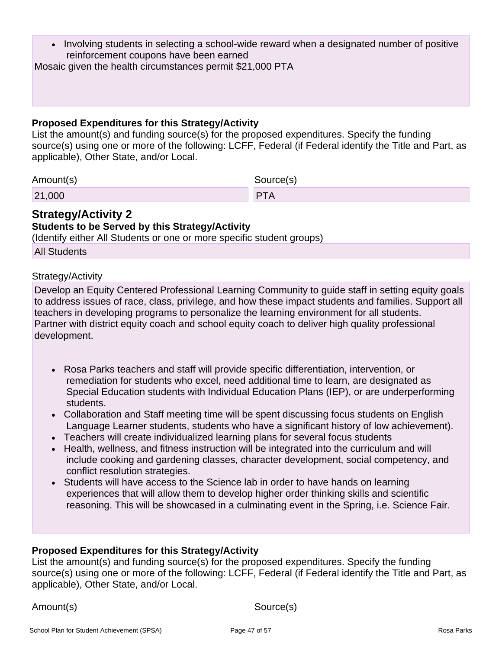• Involving students in selecting a school-wide reward when a designated number of positive reinforcement coupons have been earned

Mosaic given the health circumstances permit \$21,000 PTA

#### **Proposed Expenditures for this Strategy/Activity**

List the amount(s) and funding source(s) for the proposed expenditures. Specify the funding source(s) using one or more of the following: LCFF, Federal (if Federal identify the Title and Part, as applicable), Other State, and/or Local.

Amount(s) Source(s)

21,000 PTA

### **Strategy/Activity 2**

### **Students to be Served by this Strategy/Activity**

(Identify either All Students or one or more specific student groups)

All Students

#### Strategy/Activity

Develop an Equity Centered Professional Learning Community to guide staff in setting equity goals to address issues of race, class, privilege, and how these impact students and families. Support all teachers in developing programs to personalize the learning environment for all students. Partner with district equity coach and school equity coach to deliver high quality professional development.

- Rosa Parks teachers and staff will provide specific differentiation, intervention, or remediation for students who excel, need additional time to learn, are designated as Special Education students with Individual Education Plans (IEP), or are underperforming students.
- Collaboration and Staff meeting time will be spent discussing focus students on English Language Learner students, students who have a significant history of low achievement).
- Teachers will create individualized learning plans for several focus students
- Health, wellness, and fitness instruction will be integrated into the curriculum and will include cooking and gardening classes, character development, social competency, and conflict resolution strategies.
- Students will have access to the Science lab in order to have hands on learning experiences that will allow them to develop higher order thinking skills and scientific reasoning. This will be showcased in a culminating event in the Spring, i.e. Science Fair.

### **Proposed Expenditures for this Strategy/Activity**

List the amount(s) and funding source(s) for the proposed expenditures. Specify the funding source(s) using one or more of the following: LCFF, Federal (if Federal identify the Title and Part, as applicable), Other State, and/or Local.

Amount(s) Source(s)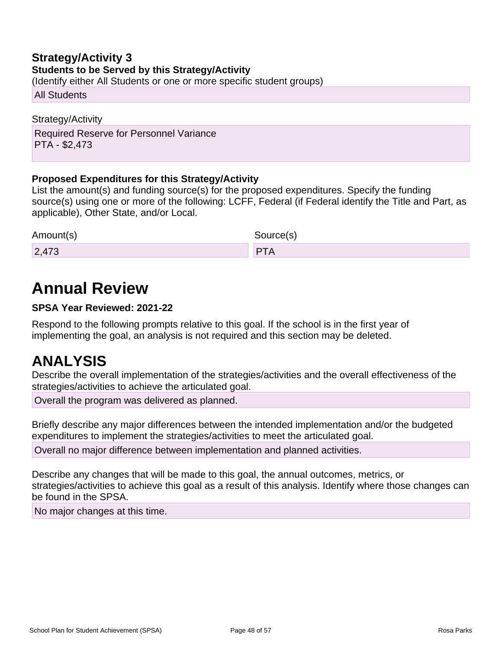### **Strategy/Activity 3 Students to be Served by this Strategy/Activity**

(Identify either All Students or one or more specific student groups)

All Students

Strategy/Activity Required Reserve for Personnel Variance PTA - \$2,473

### **Proposed Expenditures for this Strategy/Activity**

List the amount(s) and funding source(s) for the proposed expenditures. Specify the funding source(s) using one or more of the following: LCFF, Federal (if Federal identify the Title and Part, as applicable), Other State, and/or Local.

| Amount(s) | Source(s) |
|-----------|-----------|
| 2,473     | DTL       |

# **Annual Review**

### **SPSA Year Reviewed: 2021-22**

Respond to the following prompts relative to this goal. If the school is in the first year of implementing the goal, an analysis is not required and this section may be deleted.

## **ANALYSIS**

Describe the overall implementation of the strategies/activities and the overall effectiveness of the strategies/activities to achieve the articulated goal.

Overall the program was delivered as planned.

Briefly describe any major differences between the intended implementation and/or the budgeted expenditures to implement the strategies/activities to meet the articulated goal.

Overall no major difference between implementation and planned activities.

Describe any changes that will be made to this goal, the annual outcomes, metrics, or strategies/activities to achieve this goal as a result of this analysis. Identify where those changes can be found in the SPSA.

No major changes at this time.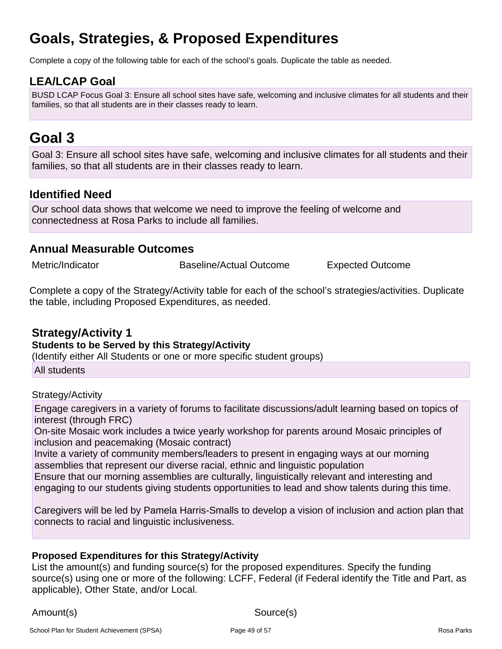# **Goals, Strategies, & Proposed Expenditures**

Complete a copy of the following table for each of the school's goals. Duplicate the table as needed.

## **LEA/LCAP Goal**

BUSD LCAP Focus Goal 3: Ensure all school sites have safe, welcoming and inclusive climates for all students and their families, so that all students are in their classes ready to learn.

## **Goal 3**

Goal 3: Ensure all school sites have safe, welcoming and inclusive climates for all students and their families, so that all students are in their classes ready to learn.

## **Identified Need**

Our school data shows that welcome we need to improve the feeling of welcome and connectedness at Rosa Parks to include all families.

### **Annual Measurable Outcomes**

Metric/Indicator **Baseline/Actual Outcome** Expected Outcome

Complete a copy of the Strategy/Activity table for each of the school's strategies/activities. Duplicate the table, including Proposed Expenditures, as needed.

### **Strategy/Activity 1**

#### **Students to be Served by this Strategy/Activity**

(Identify either All Students or one or more specific student groups)

All students

Strategy/Activity

Engage caregivers in a variety of forums to facilitate discussions/adult learning based on topics of interest (through FRC)

On-site Mosaic work includes a twice yearly workshop for parents around Mosaic principles of inclusion and peacemaking (Mosaic contract)

Invite a variety of community members/leaders to present in engaging ways at our morning assemblies that represent our diverse racial, ethnic and linguistic population

Ensure that our morning assemblies are culturally, linguistically relevant and interesting and engaging to our students giving students opportunities to lead and show talents during this time.

Caregivers will be led by Pamela Harris-Smalls to develop a vision of inclusion and action plan that connects to racial and linguistic inclusiveness.

### **Proposed Expenditures for this Strategy/Activity**

List the amount(s) and funding source(s) for the proposed expenditures. Specify the funding source(s) using one or more of the following: LCFF, Federal (if Federal identify the Title and Part, as applicable), Other State, and/or Local.

Amount(s) Source(s)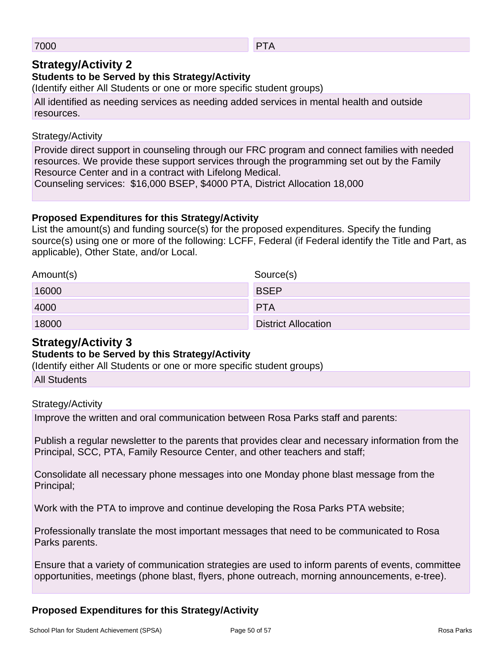#### 7000 PTA

### **Strategy/Activity 2**

### **Students to be Served by this Strategy/Activity**

(Identify either All Students or one or more specific student groups)

All identified as needing services as needing added services in mental health and outside resources.

### Strategy/Activity

Provide direct support in counseling through our FRC program and connect families with needed resources. We provide these support services through the programming set out by the Family Resource Center and in a contract with Lifelong Medical.

Counseling services: \$16,000 BSEP, \$4000 PTA, District Allocation 18,000

### **Proposed Expenditures for this Strategy/Activity**

List the amount(s) and funding source(s) for the proposed expenditures. Specify the funding source(s) using one or more of the following: LCFF, Federal (if Federal identify the Title and Part, as applicable), Other State, and/or Local.

| Amount(s) | Source(s)                  |
|-----------|----------------------------|
| 16000     | <b>BSEP</b>                |
| 4000      | <b>PTA</b>                 |
| 18000     | <b>District Allocation</b> |

## **Strategy/Activity 3**

### **Students to be Served by this Strategy/Activity**

(Identify either All Students or one or more specific student groups)

All Students

### Strategy/Activity

Improve the written and oral communication between Rosa Parks staff and parents:

Publish a regular newsletter to the parents that provides clear and necessary information from the Principal, SCC, PTA, Family Resource Center, and other teachers and staff;

Consolidate all necessary phone messages into one Monday phone blast message from the Principal;

Work with the PTA to improve and continue developing the Rosa Parks PTA website;

Professionally translate the most important messages that need to be communicated to Rosa Parks parents.

Ensure that a variety of communication strategies are used to inform parents of events, committee opportunities, meetings (phone blast, flyers, phone outreach, morning announcements, e-tree).

### **Proposed Expenditures for this Strategy/Activity**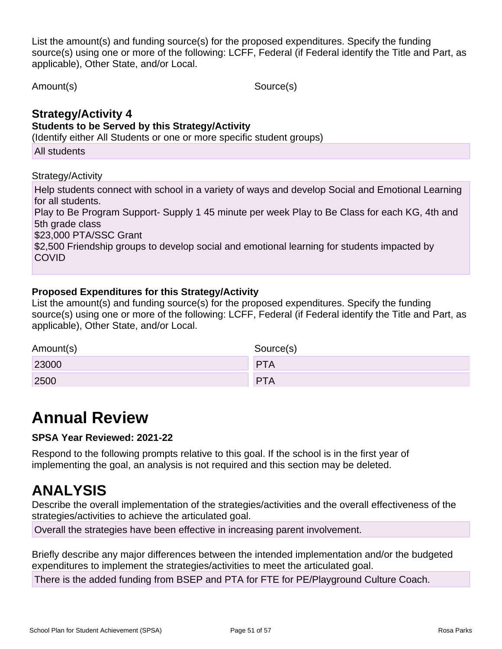List the amount(s) and funding source(s) for the proposed expenditures. Specify the funding source(s) using one or more of the following: LCFF, Federal (if Federal identify the Title and Part, as applicable), Other State, and/or Local.

Amount(s) Source(s)

## **Strategy/Activity 4**

#### **Students to be Served by this Strategy/Activity**

(Identify either All Students or one or more specific student groups)

All students

### Strategy/Activity

Help students connect with school in a variety of ways and develop Social and Emotional Learning for all students. Play to Be Program Support- Supply 1 45 minute per week Play to Be Class for each KG, 4th and 5th grade class \$23,000 PTA/SSC Grant \$2,500 Friendship groups to develop social and emotional learning for students impacted by COVID

### **Proposed Expenditures for this Strategy/Activity**

List the amount(s) and funding source(s) for the proposed expenditures. Specify the funding source(s) using one or more of the following: LCFF, Federal (if Federal identify the Title and Part, as applicable), Other State, and/or Local.

| Amount(s) | Source(s)  |
|-----------|------------|
| 23000     | <b>PTA</b> |
| 2500      | <b>PTA</b> |

## **Annual Review**

### **SPSA Year Reviewed: 2021-22**

Respond to the following prompts relative to this goal. If the school is in the first year of implementing the goal, an analysis is not required and this section may be deleted.

## **ANALYSIS**

Describe the overall implementation of the strategies/activities and the overall effectiveness of the strategies/activities to achieve the articulated goal.

Overall the strategies have been effective in increasing parent involvement.

Briefly describe any major differences between the intended implementation and/or the budgeted expenditures to implement the strategies/activities to meet the articulated goal.

There is the added funding from BSEP and PTA for FTE for PE/Playground Culture Coach.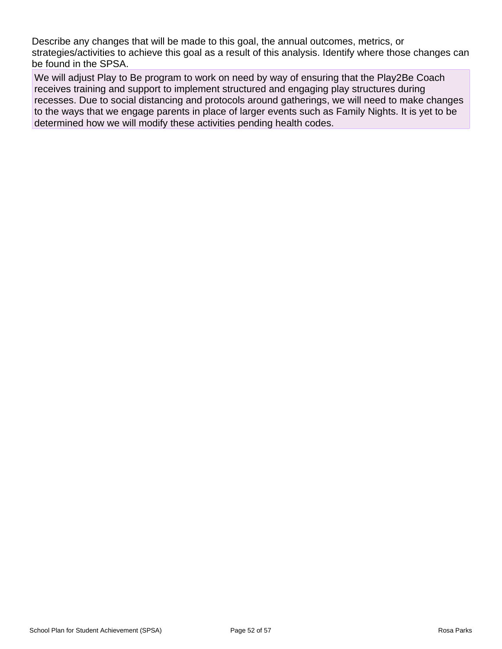Describe any changes that will be made to this goal, the annual outcomes, metrics, or strategies/activities to achieve this goal as a result of this analysis. Identify where those changes can be found in the SPSA.

We will adjust Play to Be program to work on need by way of ensuring that the Play2Be Coach receives training and support to implement structured and engaging play structures during recesses. Due to social distancing and protocols around gatherings, we will need to make changes to the ways that we engage parents in place of larger events such as Family Nights. It is yet to be determined how we will modify these activities pending health codes.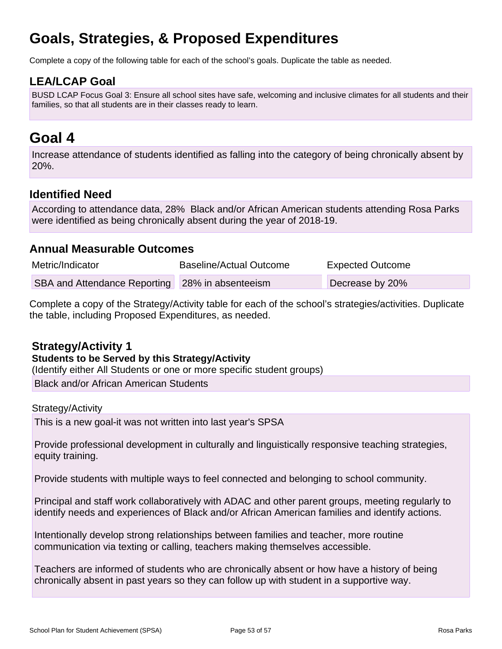# **Goals, Strategies, & Proposed Expenditures**

Complete a copy of the following table for each of the school's goals. Duplicate the table as needed.

## **LEA/LCAP Goal**

BUSD LCAP Focus Goal 3: Ensure all school sites have safe, welcoming and inclusive climates for all students and their families, so that all students are in their classes ready to learn.

## **Goal 4**

Increase attendance of students identified as falling into the category of being chronically absent by 20%.

## **Identified Need**

According to attendance data, 28% Black and/or African American students attending Rosa Parks were identified as being chronically absent during the year of 2018-19.

### **Annual Measurable Outcomes**

| Metric/Indicator                                | Baseline/Actual Outcome | <b>Expected Outcome</b> |
|-------------------------------------------------|-------------------------|-------------------------|
| SBA and Attendance Reporting 28% in absenteeism |                         | Decrease by 20%         |

Complete a copy of the Strategy/Activity table for each of the school's strategies/activities. Duplicate the table, including Proposed Expenditures, as needed.

### **Strategy/Activity 1**

### **Students to be Served by this Strategy/Activity**

(Identify either All Students or one or more specific student groups)

Black and/or African American Students

#### Strategy/Activity

This is a new goal-it was not written into last year's SPSA

Provide professional development in culturally and linguistically responsive teaching strategies, equity training.

Provide students with multiple ways to feel connected and belonging to school community.

Principal and staff work collaboratively with ADAC and other parent groups, meeting regularly to identify needs and experiences of Black and/or African American families and identify actions.

Intentionally develop strong relationships between families and teacher, more routine communication via texting or calling, teachers making themselves accessible.

Teachers are informed of students who are chronically absent or how have a history of being chronically absent in past years so they can follow up with student in a supportive way.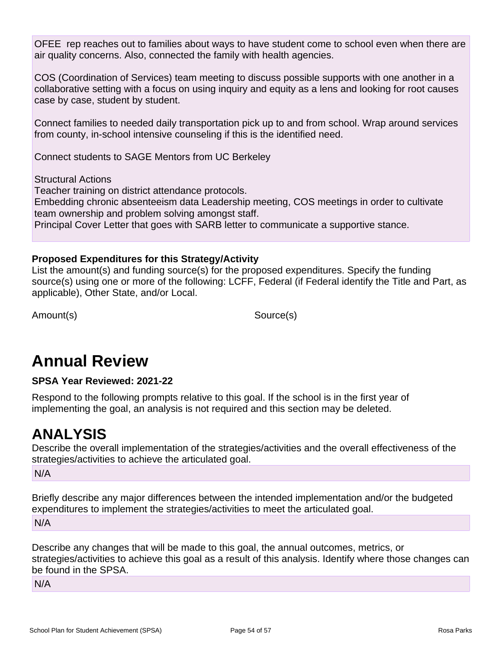OFEE rep reaches out to families about ways to have student come to school even when there are air quality concerns. Also, connected the family with health agencies.

COS (Coordination of Services) team meeting to discuss possible supports with one another in a collaborative setting with a focus on using inquiry and equity as a lens and looking for root causes case by case, student by student.

Connect families to needed daily transportation pick up to and from school. Wrap around services from county, in-school intensive counseling if this is the identified need.

Connect students to SAGE Mentors from UC Berkeley

Structural Actions

Teacher training on district attendance protocols. Embedding chronic absenteeism data Leadership meeting, COS meetings in order to cultivate team ownership and problem solving amongst staff. Principal Cover Letter that goes with SARB letter to communicate a supportive stance.

### **Proposed Expenditures for this Strategy/Activity**

List the amount(s) and funding source(s) for the proposed expenditures. Specify the funding source(s) using one or more of the following: LCFF, Federal (if Federal identify the Title and Part, as applicable), Other State, and/or Local.

Amount(s) Source(s)

## **Annual Review**

### **SPSA Year Reviewed: 2021-22**

Respond to the following prompts relative to this goal. If the school is in the first year of implementing the goal, an analysis is not required and this section may be deleted.

## **ANALYSIS**

Describe the overall implementation of the strategies/activities and the overall effectiveness of the strategies/activities to achieve the articulated goal.

N/A

Briefly describe any major differences between the intended implementation and/or the budgeted expenditures to implement the strategies/activities to meet the articulated goal.

N/A

Describe any changes that will be made to this goal, the annual outcomes, metrics, or strategies/activities to achieve this goal as a result of this analysis. Identify where those changes can be found in the SPSA.

N/A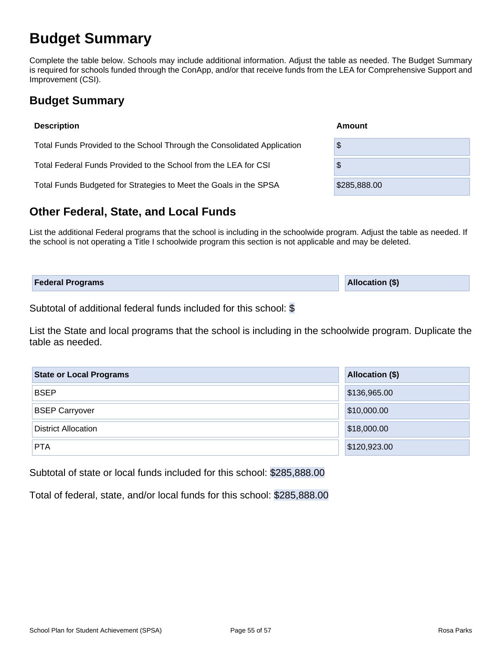## **Budget Summary**

Complete the table below. Schools may include additional information. Adjust the table as needed. The Budget Summary is required for schools funded through the ConApp, and/or that receive funds from the LEA for Comprehensive Support and Improvement (CSI).

## **Budget Summary**

| <b>Description</b>                                                      | Amount       |
|-------------------------------------------------------------------------|--------------|
| Total Funds Provided to the School Through the Consolidated Application | \$           |
| Total Federal Funds Provided to the School from the LEA for CSI         | \$           |
| Total Funds Budgeted for Strategies to Meet the Goals in the SPSA       | \$285,888.00 |
|                                                                         |              |

## **Other Federal, State, and Local Funds**

List the additional Federal programs that the school is including in the schoolwide program. Adjust the table as needed. If the school is not operating a Title I schoolwide program this section is not applicable and may be deleted.

| <b>Federal Programs</b> | <b>Allocation (\$)</b> |
|-------------------------|------------------------|
|                         |                        |

Subtotal of additional federal funds included for this school: \$

List the State and local programs that the school is including in the schoolwide program. Duplicate the table as needed.

| <b>State or Local Programs</b> | Allocation (\$) |
|--------------------------------|-----------------|
| <b>BSEP</b>                    | \$136,965.00    |
| <b>BSEP Carryover</b>          | \$10,000.00     |
| <b>District Allocation</b>     | \$18,000.00     |
| <b>PTA</b>                     | \$120,923.00    |

Subtotal of state or local funds included for this school: \$285,888.00

Total of federal, state, and/or local funds for this school: \$285,888.00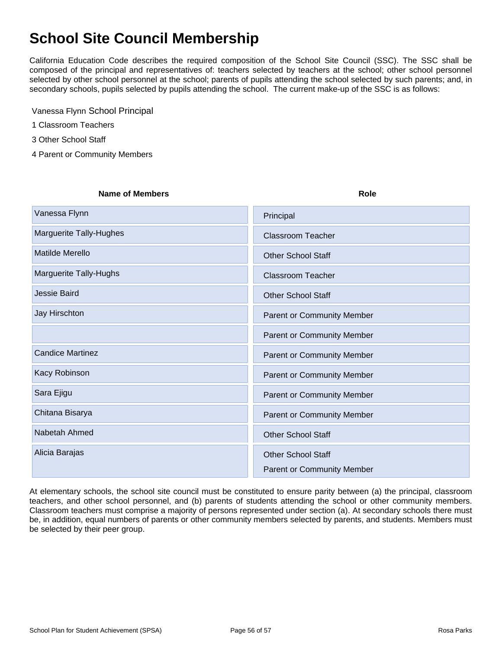## **School Site Council Membership**

California Education Code describes the required composition of the School Site Council (SSC). The SSC shall be composed of the principal and representatives of: teachers selected by teachers at the school; other school personnel selected by other school personnel at the school; parents of pupils attending the school selected by such parents; and, in secondary schools, pupils selected by pupils attending the school. The current make-up of the SSC is as follows:

Vanessa Flynn School Principal

1 Classroom Teachers

3 Other School Staff

4 Parent or Community Members

#### **Name of Members Role**

| Vanessa Flynn           | Principal                         |
|-------------------------|-----------------------------------|
| Marguerite Tally-Hughes | <b>Classroom Teacher</b>          |
| <b>Matilde Merello</b>  | <b>Other School Staff</b>         |
| Marguerite Tally-Hughs  | <b>Classroom Teacher</b>          |
| Jessie Baird            | <b>Other School Staff</b>         |
| Jay Hirschton           | <b>Parent or Community Member</b> |
|                         | Parent or Community Member        |
| <b>Candice Martinez</b> | <b>Parent or Community Member</b> |
| Kacy Robinson           | <b>Parent or Community Member</b> |
| Sara Ejigu              | <b>Parent or Community Member</b> |
| Chitana Bisarya         | Parent or Community Member        |
| Nabetah Ahmed           | <b>Other School Staff</b>         |
| Alicia Barajas          | <b>Other School Staff</b>         |
|                         | <b>Parent or Community Member</b> |

At elementary schools, the school site council must be constituted to ensure parity between (a) the principal, classroom teachers, and other school personnel, and (b) parents of students attending the school or other community members. Classroom teachers must comprise a majority of persons represented under section (a). At secondary schools there must be, in addition, equal numbers of parents or other community members selected by parents, and students. Members must be selected by their peer group.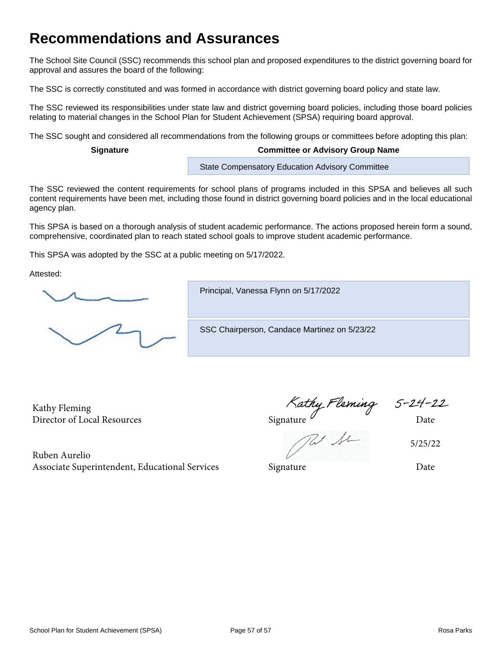## **Recommendations and Assurances**

The School Site Council (SSC) recommends this school plan and proposed expenditures to the district governing board for approval and assures the board of the following:

The SSC is correctly constituted and was formed in accordance with district governing board policy and state law.

The SSC reviewed its responsibilities under state law and district governing board policies, including those board policies relating to material changes in the School Plan for Student Achievement (SPSA) requiring board approval.

The SSC sought and considered all recommendations from the following groups or committees before adopting this plan:

#### **Signature Committee or Advisory Group Name**

State Compensatory Education Advisory Committee

The SSC reviewed the content requirements for school plans of programs included in this SPSA and believes all such content requirements have been met, including those found in district governing board policies and in the local educational agency plan.

This SPSA is based on a thorough analysis of student academic performance. The actions proposed herein form a sound, comprehensive, coordinated plan to reach stated school goals to improve student academic performance.

This SPSA was adopted by the SSC at a public meeting on 5/17/2022.

Attested:

Principal, Vanessa Flynn on 5/17/2022

SSC Chairperson, Candace Martinez on 5/23/22

Kathy Fleming Director of Local Resources and Date Signature  $\mathcal O$  Signature Date

Ruben Aurelio

5/25/22

Associate Superintendent, Educational Services Signature Signature Date